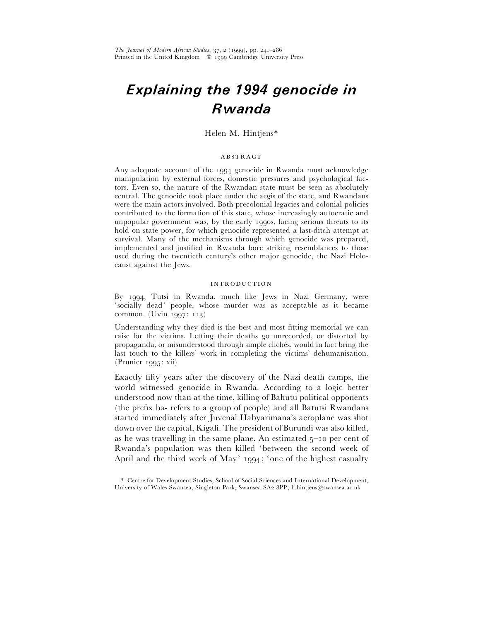# *Explaining the 1994 genocide in Rwanda*

# Helen M. Hintjens\*

#### **ABSTRACT**

Any adequate account of the 1994 genocide in Rwanda must acknowledge manipulation by external forces, domestic pressures and psychological factors. Even so, the nature of the Rwandan state must be seen as absolutely central. The genocide took place under the aegis of the state, and Rwandans were the main actors involved. Both precolonial legacies and colonial policies contributed to the formation of this state, whose increasingly autocratic and unpopular government was, by the early 1990s, facing serious threats to its hold on state power, for which genocide represented a last-ditch attempt at survival. Many of the mechanisms through which genocide was prepared, implemented and justified in Rwanda bore striking resemblances to those used during the twentieth century's other major genocide, the Nazi Holocaust against the Jews.

## **INTRODUCTION**

By 1994, Tutsi in Rwanda, much like Jews in Nazi Germany, were ' socially dead' people, whose murder was as acceptable as it became common. (Uvin  $1997: 113$ )

Understanding why they died is the best and most fitting memorial we can raise for the victims. Letting their deaths go unrecorded, or distorted by propaganda, or misunderstood through simple clichés, would in fact bring the last touch to the killers' work in completing the victims' dehumanisation.  $(Prunier 1995: xii)$ 

Exactly fifty years after the discovery of the Nazi death camps, the world witnessed genocide in Rwanda. According to a logic better understood now than at the time, killing of Bahutu political opponents (the prefix ba- refers to a group of people) and all Batutsi Rwandans started immediately after Juvenal Habyarimana's aeroplane was shot down over the capital, Kigali. The president of Burundi was also killed, as he was travelling in the same plane. An estimated  $5$ –10 per cent of Rwanda's population was then killed 'between the second week of April and the third week of May' 1994; 'one of the highest casualty

<sup>\*</sup> Centre for Development Studies, School of Social Sciences and International Development, University of Wales Swansea, Singleton Park, Swansea SA2 8PP; h.hintjens@swansea.ac.uk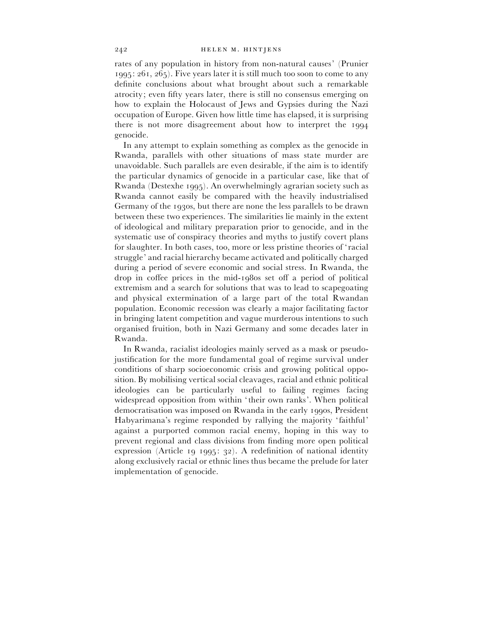rates of any population in history from non-natural causes' (Prunier  $1995: 261, 265$ . Five years later it is still much too soon to come to any definite conclusions about what brought about such a remarkable atrocity; even fifty years later, there is still no consensus emerging on how to explain the Holocaust of Jews and Gypsies during the Nazi occupation of Europe. Given how little time has elapsed, it is surprising there is not more disagreement about how to interpret the genocide.

In any attempt to explain something as complex as the genocide in Rwanda, parallels with other situations of mass state murder are unavoidable. Such parallels are even desirable, if the aim is to identify the particular dynamics of genocide in a particular case, like that of Rwanda (Destexhe 1995). An overwhelmingly agrarian society such as Rwanda cannot easily be compared with the heavily industrialised Germany of the 1930s, but there are none the less parallels to be drawn between these two experiences. The similarities lie mainly in the extent of ideological and military preparation prior to genocide, and in the systematic use of conspiracy theories and myths to justify covert plans for slaughter. In both cases, too, more or less pristine theories of ' racial struggle' and racial hierarchy became activated and politically charged during a period of severe economic and social stress. In Rwanda, the drop in coffee prices in the mid-1980s set off a period of political extremism and a search for solutions that was to lead to scapegoating and physical extermination of a large part of the total Rwandan population. Economic recession was clearly a major facilitating factor in bringing latent competition and vague murderous intentions to such organised fruition, both in Nazi Germany and some decades later in Rwanda.

In Rwanda, racialist ideologies mainly served as a mask or pseudojustification for the more fundamental goal of regime survival under conditions of sharp socioeconomic crisis and growing political opposition. By mobilising vertical social cleavages, racial and ethnic political ideologies can be particularly useful to failing regimes facing widespread opposition from within ' their own ranks'. When political democratisation was imposed on Rwanda in the early 1990s, President Habyarimana's regime responded by rallying the majority 'faithful' against a purported common racial enemy, hoping in this way to prevent regional and class divisions from finding more open political expression (Article  $1995$ : 32). A redefinition of national identity along exclusively racial or ethnic lines thus became the prelude for later implementation of genocide.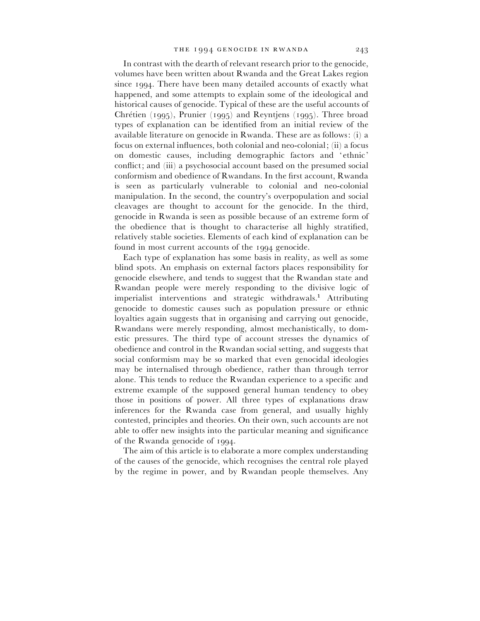In contrast with the dearth of relevant research prior to the genocide, volumes have been written about Rwanda and the Great Lakes region since 1994. There have been many detailed accounts of exactly what happened, and some attempts to explain some of the ideological and historical causes of genocide. Typical of these are the useful accounts of Chrétien (1995), Prunier (1995) and Reyntjens (1995). Three broad types of explanation can be identified from an initial review of the available literature on genocide in Rwanda. These are as follows: (i) a focus on external influences, both colonial and neo-colonial; (ii) a focus on domestic causes, including demographic factors and 'ethnic' conflict; and (iii) a psychosocial account based on the presumed social conformism and obedience of Rwandans. In the first account, Rwanda is seen as particularly vulnerable to colonial and neo-colonial manipulation. In the second, the country's overpopulation and social cleavages are thought to account for the genocide. In the third, genocide in Rwanda is seen as possible because of an extreme form of the obedience that is thought to characterise all highly stratified, relatively stable societies. Elements of each kind of explanation can be found in most current accounts of the 1994 genocide.

Each type of explanation has some basis in reality, as well as some blind spots. An emphasis on external factors places responsibility for genocide elsewhere, and tends to suggest that the Rwandan state and Rwandan people were merely responding to the divisive logic of imperialist interventions and strategic withdrawals.<sup>1</sup> Attributing genocide to domestic causes such as population pressure or ethnic loyalties again suggests that in organising and carrying out genocide, Rwandans were merely responding, almost mechanistically, to domestic pressures. The third type of account stresses the dynamics of obedience and control in the Rwandan social setting, and suggests that social conformism may be so marked that even genocidal ideologies may be internalised through obedience, rather than through terror alone. This tends to reduce the Rwandan experience to a specific and extreme example of the supposed general human tendency to obey those in positions of power. All three types of explanations draw inferences for the Rwanda case from general, and usually highly contested, principles and theories. On their own, such accounts are not able to offer new insights into the particular meaning and significance of the Rwanda genocide of 1994.

The aim of this article is to elaborate a more complex understanding of the causes of the genocide, which recognises the central role played by the regime in power, and by Rwandan people themselves. Any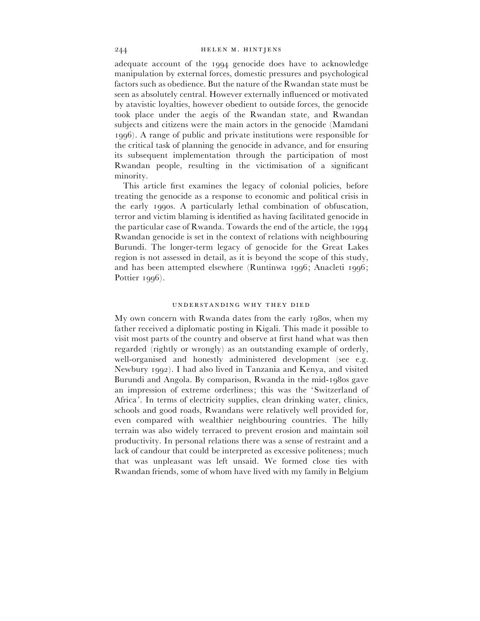adequate account of the 1994 genocide does have to acknowledge manipulation by external forces, domestic pressures and psychological factors such as obedience. But the nature of the Rwandan state must be seen as absolutely central. However externally influenced or motivated by atavistic loyalties, however obedient to outside forces, the genocide took place under the aegis of the Rwandan state, and Rwandan subjects and citizens were the main actors in the genocide (Mamdani ). A range of public and private institutions were responsible for the critical task of planning the genocide in advance, and for ensuring its subsequent implementation through the participation of most Rwandan people, resulting in the victimisation of a significant minority.

This article first examines the legacy of colonial policies, before treating the genocide as a response to economic and political crisis in the early 1990s. A particularly lethal combination of obfuscation, terror and victim blaming is identified as having facilitated genocide in the particular case of Rwanda. Towards the end of the article, the Rwandan genocide is set in the context of relations with neighbouring Burundi. The longer-term legacy of genocide for the Great Lakes region is not assessed in detail, as it is beyond the scope of this study, and has been attempted elsewhere (Runtinwa 1996; Anacleti 1996; Pottier  $1996$ .

## UNDERSTANDING WHY THEY DIED

My own concern with Rwanda dates from the early 1980s, when my father received a diplomatic posting in Kigali. This made it possible to visit most parts of the country and observe at first hand what was then regarded (rightly or wrongly) as an outstanding example of orderly, well-organised and honestly administered development (see e.g. Newbury 1992). I had also lived in Tanzania and Kenya, and visited Burundi and Angola. By comparison, Rwanda in the mid-1980s gave an impression of extreme orderliness; this was the 'Switzerland of Africa'. In terms of electricity supplies, clean drinking water, clinics, schools and good roads, Rwandans were relatively well provided for, even compared with wealthier neighbouring countries. The hilly terrain was also widely terraced to prevent erosion and maintain soil productivity. In personal relations there was a sense of restraint and a lack of candour that could be interpreted as excessive politeness; much that was unpleasant was left unsaid. We formed close ties with Rwandan friends, some of whom have lived with my family in Belgium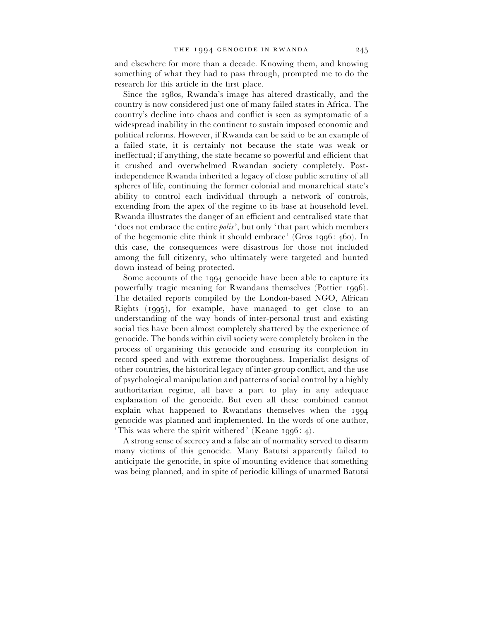and elsewhere for more than a decade. Knowing them, and knowing something of what they had to pass through, prompted me to do the research for this article in the first place.

Since the 1980s, Rwanda's image has altered drastically, and the country is now considered just one of many failed states in Africa. The country's decline into chaos and conflict is seen as symptomatic of a widespread inability in the continent to sustain imposed economic and political reforms. However, if Rwanda can be said to be an example of a failed state, it is certainly not because the state was weak or ineffectual; if anything, the state became so powerful and efficient that it crushed and overwhelmed Rwandan society completely. Postindependence Rwanda inherited a legacy of close public scrutiny of all spheres of life, continuing the former colonial and monarchical state's ability to control each individual through a network of controls, extending from the apex of the regime to its base at household level. Rwanda illustrates the danger of an efficient and centralised state that 'does not embrace the entire *polis*', but only ' that part which members of the hegemonic elite think it should embrace' (Gros  $1996:460$ ). In this case, the consequences were disastrous for those not included among the full citizenry, who ultimately were targeted and hunted down instead of being protected.

Some accounts of the 1994 genocide have been able to capture its powerfully tragic meaning for Rwandans themselves (Pottier 1996). The detailed reports compiled by the London-based NGO, African Rights  $(1995)$ , for example, have managed to get close to an understanding of the way bonds of inter-personal trust and existing social ties have been almost completely shattered by the experience of genocide. The bonds within civil society were completely broken in the process of organising this genocide and ensuring its completion in record speed and with extreme thoroughness. Imperialist designs of other countries, the historical legacy of inter-group conflict, and the use of psychological manipulation and patterns of social control by a highly authoritarian regime, all have a part to play in any adequate explanation of the genocide. But even all these combined cannot explain what happened to Rwandans themselves when the 1994 genocide was planned and implemented. In the words of one author, 'This was where the spirit withered' (Keane  $1996:4$ ).

A strong sense of secrecy and a false air of normality served to disarm many victims of this genocide. Many Batutsi apparently failed to anticipate the genocide, in spite of mounting evidence that something was being planned, and in spite of periodic killings of unarmed Batutsi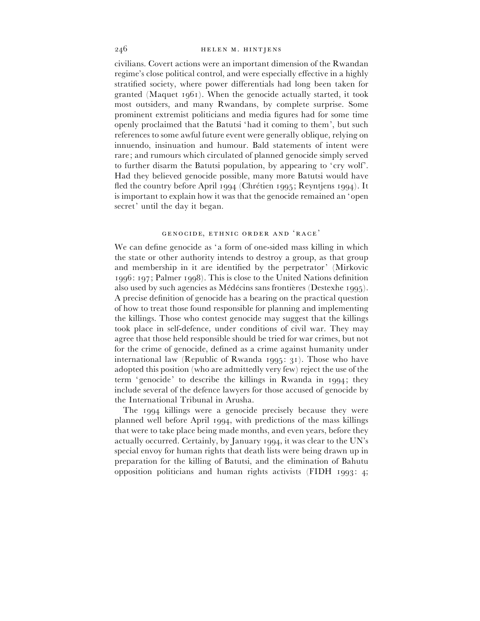## 246 HELEN M. HINTIENS

civilians. Covert actions were an important dimension of the Rwandan regime's close political control, and were especially effective in a highly stratified society, where power differentials had long been taken for granted (Maquet  $1961$ ). When the genocide actually started, it took most outsiders, and many Rwandans, by complete surprise. Some prominent extremist politicians and media figures had for some time openly proclaimed that the Batutsi 'had it coming to them', but such references to some awful future event were generally oblique, relying on innuendo, insinuation and humour. Bald statements of intent were rare; and rumours which circulated of planned genocide simply served to further disarm the Batutsi population, by appearing to 'cry wolf'. Had they believed genocide possible, many more Batutsi would have fled the country before April  $1994$  (Chrétien  $1995$ ; Reyntjens  $1994$ ). It is important to explain how it was that the genocide remained an ' open secret' until the day it began.

## GENOCIDE, ETHNIC ORDER AND 'RACE'

We can define genocide as 'a form of one-sided mass killing in which the state or other authority intends to destroy a group, as that group and membership in it are identified by the perpetrator' (Mirkovic  $1996: 197$ ; Palmer  $1998$ ). This is close to the United Nations definition also used by such agencies as Médécins sans frontières (Destexhe  $1995$ ). A precise definition of genocide has a bearing on the practical question of how to treat those found responsible for planning and implementing the killings. Those who contest genocide may suggest that the killings took place in self-defence, under conditions of civil war. They may agree that those held responsible should be tried for war crimes, but not for the crime of genocide, defined as a crime against humanity under international law (Republic of Rwanda  $1995: 31$ ). Those who have adopted this position (who are admittedly very few) reject the use of the term 'genocide' to describe the killings in Rwanda in 1994; they include several of the defence lawyers for those accused of genocide by the International Tribunal in Arusha.

The 1994 killings were a genocide precisely because they were planned well before April 1994, with predictions of the mass killings that were to take place being made months, and even years, before they actually occurred. Certainly, by January  $1994$ , it was clear to the UN's special envoy for human rights that death lists were being drawn up in preparation for the killing of Batutsi, and the elimination of Bahutu opposition politicians and human rights activists (FIDH  $1993:4;$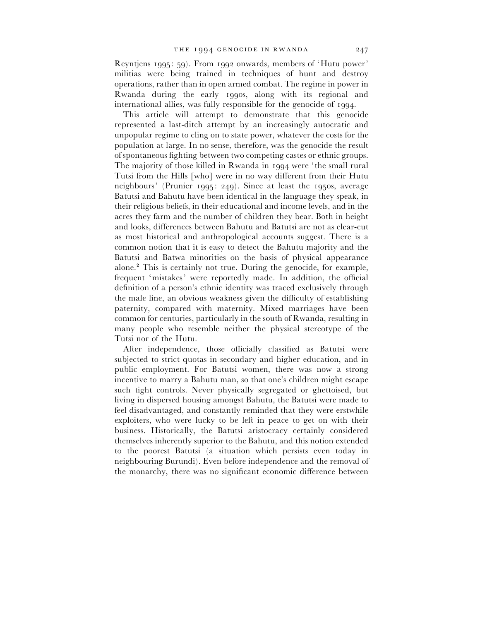Reyntjens 1995: 59). From 1992 onwards, members of 'Hutu power' militias were being trained in techniques of hunt and destroy operations, rather than in open armed combat. The regime in power in Rwanda during the early 1990s, along with its regional and international allies, was fully responsible for the genocide of 1994.

This article will attempt to demonstrate that this genocide represented a last-ditch attempt by an increasingly autocratic and unpopular regime to cling on to state power, whatever the costs for the population at large. In no sense, therefore, was the genocide the result of spontaneous fighting between two competing castes or ethnic groups. The majority of those killed in Rwanda in 1994 were 'the small rural Tutsi from the Hills [who] were in no way different from their Hutu neighbours' (Prunier 1995: 249). Since at least the 1950s, average Batutsi and Bahutu have been identical in the language they speak, in their religious beliefs, in their educational and income levels, and in the acres they farm and the number of children they bear. Both in height and looks, differences between Bahutu and Batutsi are not as clear-cut as most historical and anthropological accounts suggest. There is a common notion that it is easy to detect the Bahutu majority and the Batutsi and Batwa minorities on the basis of physical appearance alone.<sup>2</sup> This is certainly not true. During the genocide, for example, frequent 'mistakes' were reportedly made. In addition, the official definition of a person's ethnic identity was traced exclusively through the male line, an obvious weakness given the difficulty of establishing paternity, compared with maternity. Mixed marriages have been common for centuries, particularly in the south of Rwanda, resulting in many people who resemble neither the physical stereotype of the Tutsi nor of the Hutu.

After independence, those officially classified as Batutsi were subjected to strict quotas in secondary and higher education, and in public employment. For Batutsi women, there was now a strong incentive to marry a Bahutu man, so that one's children might escape such tight controls. Never physically segregated or ghettoised, but living in dispersed housing amongst Bahutu, the Batutsi were made to feel disadvantaged, and constantly reminded that they were erstwhile exploiters, who were lucky to be left in peace to get on with their business. Historically, the Batutsi aristocracy certainly considered themselves inherently superior to the Bahutu, and this notion extended to the poorest Batutsi (a situation which persists even today in neighbouring Burundi). Even before independence and the removal of the monarchy, there was no significant economic difference between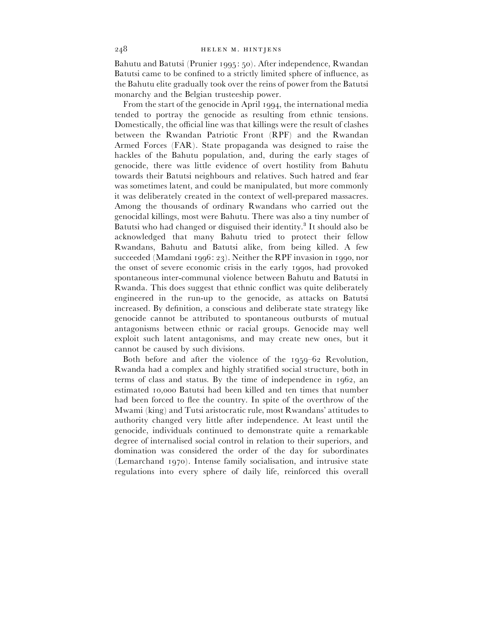Bahutu and Batutsi (Prunier 1995: 50). After independence, Rwandan Batutsi came to be confined to a strictly limited sphere of influence, as the Bahutu elite gradually took over the reins of power from the Batutsi monarchy and the Belgian trusteeship power.

From the start of the genocide in April 1994, the international media tended to portray the genocide as resulting from ethnic tensions. Domestically, the official line was that killings were the result of clashes between the Rwandan Patriotic Front (RPF) and the Rwandan Armed Forces (FAR). State propaganda was designed to raise the hackles of the Bahutu population, and, during the early stages of genocide, there was little evidence of overt hostility from Bahutu towards their Batutsi neighbours and relatives. Such hatred and fear was sometimes latent, and could be manipulated, but more commonly it was deliberately created in the context of well-prepared massacres. Among the thousands of ordinary Rwandans who carried out the genocidal killings, most were Bahutu. There was also a tiny number of Batutsi who had changed or disguised their identity.<sup>3</sup> It should also be acknowledged that many Bahutu tried to protect their fellow Rwandans, Bahutu and Batutsi alike, from being killed. A few succeeded (Mamdani 1996: 23). Neither the RPF invasion in 1990, nor the onset of severe economic crisis in the early 1990s, had provoked spontaneous inter-communal violence between Bahutu and Batutsi in Rwanda. This does suggest that ethnic conflict was quite deliberately engineered in the run-up to the genocide, as attacks on Batutsi increased. By definition, a conscious and deliberate state strategy like genocide cannot be attributed to spontaneous outbursts of mutual antagonisms between ethnic or racial groups. Genocide may well exploit such latent antagonisms, and may create new ones, but it cannot be caused by such divisions.

Both before and after the violence of the  $1959-62$  Revolution, Rwanda had a complex and highly stratified social structure, both in terms of class and status. By the time of independence in  $1962$ , an estimated 10,000 Batutsi had been killed and ten times that number had been forced to flee the country. In spite of the overthrow of the Mwami (king) and Tutsi aristocratic rule, most Rwandans' attitudes to authority changed very little after independence. At least until the genocide, individuals continued to demonstrate quite a remarkable degree of internalised social control in relation to their superiors, and domination was considered the order of the day for subordinates (Lemarchand  $1970$ ). Intense family socialisation, and intrusive state regulations into every sphere of daily life, reinforced this overall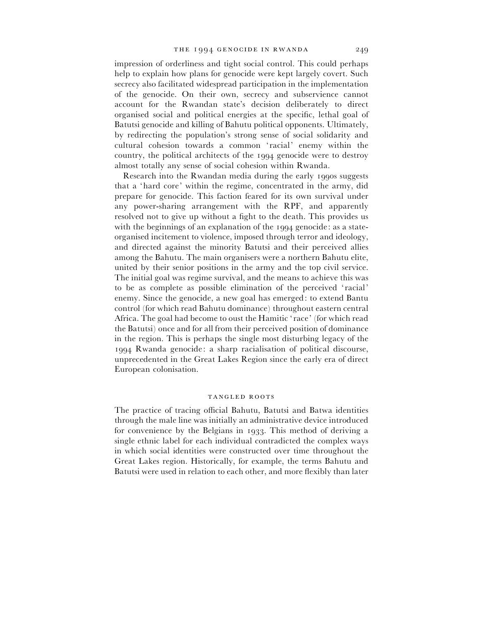impression of orderliness and tight social control. This could perhaps help to explain how plans for genocide were kept largely covert. Such secrecy also facilitated widespread participation in the implementation of the genocide. On their own, secrecy and subservience cannot account for the Rwandan state's decision deliberately to direct organised social and political energies at the specific, lethal goal of Batutsi genocide and killing of Bahutu political opponents. Ultimately, by redirecting the population's strong sense of social solidarity and cultural cohesion towards a common 'racial' enemy within the country, the political architects of the 1994 genocide were to destroy almost totally any sense of social cohesion within Rwanda.

Research into the Rwandan media during the early 1990s suggests that a 'hard core' within the regime, concentrated in the army, did prepare for genocide. This faction feared for its own survival under any power-sharing arrangement with the RPF, and apparently resolved not to give up without a fight to the death. This provides us with the beginnings of an explanation of the  $1994$  genocide: as a stateorganised incitement to violence, imposed through terror and ideology, and directed against the minority Batutsi and their perceived allies among the Bahutu. The main organisers were a northern Bahutu elite, united by their senior positions in the army and the top civil service. The initial goal was regime survival, and the means to achieve this was to be as complete as possible elimination of the perceived ' racial' enemy. Since the genocide, a new goal has emerged: to extend Bantu control (for which read Bahutu dominance) throughout eastern central Africa. The goal had become to oust the Hamitic ' race' (for which read the Batutsi) once and for all from their perceived position of dominance in the region. This is perhaps the single most disturbing legacy of the Rwanda genocide: a sharp racialisation of political discourse, unprecedented in the Great Lakes Region since the early era of direct European colonisation.

# TANGLED ROOTS

The practice of tracing official Bahutu, Batutsi and Batwa identities through the male line was initially an administrative device introduced for convenience by the Belgians in 1933. This method of deriving a single ethnic label for each individual contradicted the complex ways in which social identities were constructed over time throughout the Great Lakes region. Historically, for example, the terms Bahutu and Batutsi were used in relation to each other, and more flexibly than later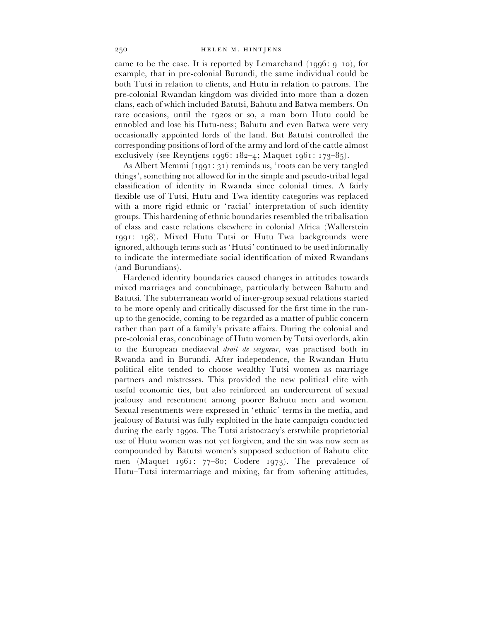came to be the case. It is reported by Lemarchand  $(1996: 9-10)$ , for example, that in pre-colonial Burundi, the same individual could be both Tutsi in relation to clients, and Hutu in relation to patrons. The pre-colonial Rwandan kingdom was divided into more than a dozen clans, each of which included Batutsi, Bahutu and Batwa members. On rare occasions, until the 1920s or so, a man born Hutu could be ennobled and lose his Hutu-ness; Bahutu and even Batwa were very occasionally appointed lords of the land. But Batutsi controlled the corresponding positions of lord of the army and lord of the cattle almost exclusively (see Reyntjens 1996:  $182-4$ ; Maquet 1961: 173-85).

As Albert Memmi  $(1991:31)$  reminds us, 'roots can be very tangled things', something not allowed for in the simple and pseudo-tribal legal classification of identity in Rwanda since colonial times. A fairly flexible use of Tutsi, Hutu and Twa identity categories was replaced with a more rigid ethnic or 'racial' interpretation of such identity groups. This hardening of ethnic boundaries resembled the tribalisation of class and caste relations elsewhere in colonial Africa (Wallerstein : ). Mixed Hutu–Tutsi or Hutu–Twa backgrounds were ignored, although terms such as 'Hutsi' continued to be used informally to indicate the intermediate social identification of mixed Rwandans (and Burundians).

Hardened identity boundaries caused changes in attitudes towards mixed marriages and concubinage, particularly between Bahutu and Batutsi. The subterranean world of inter-group sexual relations started to be more openly and critically discussed for the first time in the runup to the genocide, coming to be regarded as a matter of public concern rather than part of a family's private affairs. During the colonial and pre-colonial eras, concubinage of Hutu women by Tutsi overlords, akin to the European mediaeval *droit de seigneur*, was practised both in Rwanda and in Burundi. After independence, the Rwandan Hutu political elite tended to choose wealthy Tutsi women as marriage partners and mistresses. This provided the new political elite with useful economic ties, but also reinforced an undercurrent of sexual jealousy and resentment among poorer Bahutu men and women. Sexual resentments were expressed in 'ethnic' terms in the media, and jealousy of Batutsi was fully exploited in the hate campaign conducted during the early 1990s. The Tutsi aristocracy's erstwhile proprietorial use of Hutu women was not yet forgiven, and the sin was now seen as compounded by Batutsi women's supposed seduction of Bahutu elite men (Maquet 1961:  $77-80$ ; Codere 1973). The prevalence of Hutu–Tutsi intermarriage and mixing, far from softening attitudes,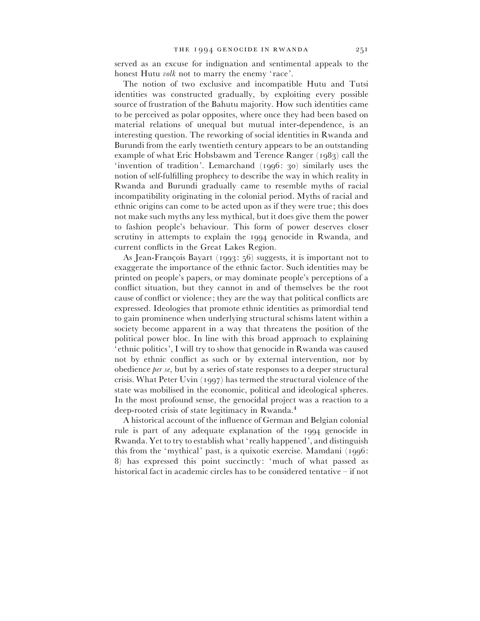served as an excuse for indignation and sentimental appeals to the honest Hutu *volk* not to marry the enemy 'race'.

The notion of two exclusive and incompatible Hutu and Tutsi identities was constructed gradually, by exploiting every possible source of frustration of the Bahutu majority. How such identities came to be perceived as polar opposites, where once they had been based on material relations of unequal but mutual inter-dependence, is an interesting question. The reworking of social identities in Rwanda and Burundi from the early twentieth century appears to be an outstanding example of what Eric Hobsbawm and Terence Ranger  $(1983)$  call the 'invention of tradition'. Lemarchand  $(1996: 30)$  similarly uses the notion of self-fulfilling prophecy to describe the way in which reality in Rwanda and Burundi gradually came to resemble myths of racial incompatibility originating in the colonial period. Myths of racial and ethnic origins can come to be acted upon as if they were true; this does not make such myths any less mythical, but it does give them the power to fashion people's behaviour. This form of power deserves closer scrutiny in attempts to explain the 1994 genocide in Rwanda, and current conflicts in the Great Lakes Region.

As Jean-François Bayart  $(1993: 56)$  suggests, it is important not to exaggerate the importance of the ethnic factor. Such identities may be printed on people's papers, or may dominate people's perceptions of a conflict situation, but they cannot in and of themselves be the root cause of conflict or violence; they are the way that political conflicts are expressed. Ideologies that promote ethnic identities as primordial tend to gain prominence when underlying structural schisms latent within a society become apparent in a way that threatens the position of the political power bloc. In line with this broad approach to explaining 'ethnic politics', I will try to show that genocide in Rwanda was caused not by ethnic conflict as such or by external intervention, nor by obedience *per se*, but by a series of state responses to a deeper structural crisis. What Peter Uvin  $(1997)$  has termed the structural violence of the state was mobilised in the economic, political and ideological spheres. In the most profound sense, the genocidal project was a reaction to a deep-rooted crisis of state legitimacy in Rwanda.<sup>4</sup>

A historical account of the influence of German and Belgian colonial rule is part of any adequate explanation of the 1994 genocide in Rwanda. Yet to try to establish what ' really happened', and distinguish this from the 'mythical' past, is a quixotic exercise. Mamdani (1996: ) has expressed this point succinctly: 'much of what passed as historical fact in academic circles has to be considered tentative – if not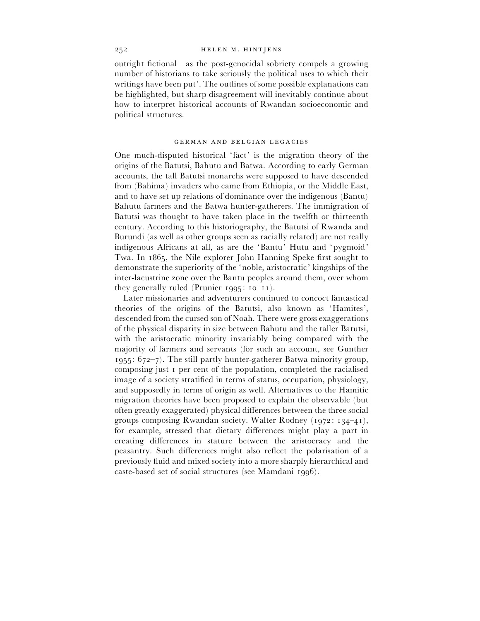#### 252 HELEN M. HINTIENS

outright fictional – as the post-genocidal sobriety compels a growing number of historians to take seriously the political uses to which their writings have been put'. The outlines of some possible explanations can be highlighted, but sharp disagreement will inevitably continue about how to interpret historical accounts of Rwandan socioeconomic and political structures.

## GERMAN AND BELGIAN LEGACIES

One much-disputed historical 'fact' is the migration theory of the origins of the Batutsi, Bahutu and Batwa. According to early German accounts, the tall Batutsi monarchs were supposed to have descended from (Bahima) invaders who came from Ethiopia, or the Middle East, and to have set up relations of dominance over the indigenous (Bantu) Bahutu farmers and the Batwa hunter-gatherers. The immigration of Batutsi was thought to have taken place in the twelfth or thirteenth century. According to this historiography, the Batutsi of Rwanda and Burundi (as well as other groups seen as racially related) are not really indigenous Africans at all, as are the 'Bantu' Hutu and 'pygmoid' Twa. In 1865, the Nile explorer John Hanning Speke first sought to demonstrate the superiority of the 'noble, aristocratic' kingships of the inter-lacustrine zone over the Bantu peoples around them, over whom they generally ruled (Prunier  $1995$ :  $10-11$ ).

Later missionaries and adventurers continued to concoct fantastical theories of the origins of the Batutsi, also known as 'Hamites', descended from the cursed son of Noah. There were gross exaggerations of the physical disparity in size between Bahutu and the taller Batutsi, with the aristocratic minority invariably being compared with the majority of farmers and servants (for such an account, see Gunther  $1955: 672-7$ . The still partly hunter-gatherer Batwa minority group, composing just I per cent of the population, completed the racialised image of a society stratified in terms of status, occupation, physiology, and supposedly in terms of origin as well. Alternatives to the Hamitic migration theories have been proposed to explain the observable (but often greatly exaggerated) physical differences between the three social groups composing Rwandan society. Walter Rodney ( $1972: 134-41$ ), for example, stressed that dietary differences might play a part in creating differences in stature between the aristocracy and the peasantry. Such differences might also reflect the polarisation of a previously fluid and mixed society into a more sharply hierarchical and caste-based set of social structures (see Mamdani 1996).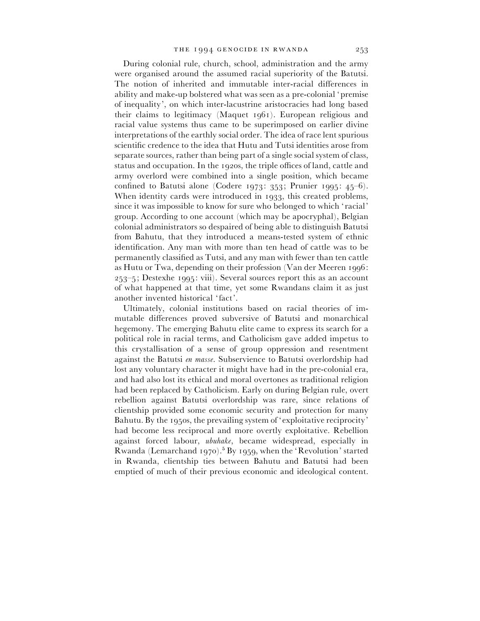During colonial rule, church, school, administration and the army were organised around the assumed racial superiority of the Batutsi. The notion of inherited and immutable inter-racial differences in ability and make-up bolstered what was seen as a pre-colonial 'premise of inequality', on which inter-lacustrine aristocracies had long based their claims to legitimacy (Maquet  $1961$ ). European religious and racial value systems thus came to be superimposed on earlier divine interpretations of the earthly social order. The idea of race lent spurious scientific credence to the idea that Hutu and Tutsi identities arose from separate sources, rather than being part of a single social system of class, status and occupation. In the 1920s, the triple offices of land, cattle and army overlord were combined into a single position, which became confined to Batutsi alone (Codere 1973: 353; Prunier 1995: 45–6). When identity cards were introduced in 1933, this created problems, since it was impossible to know for sure who belonged to which ' racial' group. According to one account (which may be apocryphal), Belgian colonial administrators so despaired of being able to distinguish Batutsi from Bahutu, that they introduced a means-tested system of ethnic identification. Any man with more than ten head of cattle was to be permanently classified as Tutsi, and any man with fewer than ten cattle as Hutu or Twa, depending on their profession (Van der Meeren :  $253-5$ ; Destexhe 1995: viii). Several sources report this as an account of what happened at that time, yet some Rwandans claim it as just another invented historical 'fact'.

Ultimately, colonial institutions based on racial theories of immutable differences proved subversive of Batutsi and monarchical hegemony. The emerging Bahutu elite came to express its search for a political role in racial terms, and Catholicism gave added impetus to this crystallisation of a sense of group oppression and resentment against the Batutsi *en masse*. Subservience to Batutsi overlordship had lost any voluntary character it might have had in the pre-colonial era, and had also lost its ethical and moral overtones as traditional religion had been replaced by Catholicism. Early on during Belgian rule, overt rebellion against Batutsi overlordship was rare, since relations of clientship provided some economic security and protection for many Bahutu. By the 1950s, the prevailing system of 'exploitative reciprocity' had become less reciprocal and more overtly exploitative. Rebellion against forced labour, *ubuhake*, became widespread, especially in Rwanda (Lemarchand 1970).<sup>5</sup> By 1959, when the 'Revolution' started in Rwanda, clientship ties between Bahutu and Batutsi had been emptied of much of their previous economic and ideological content.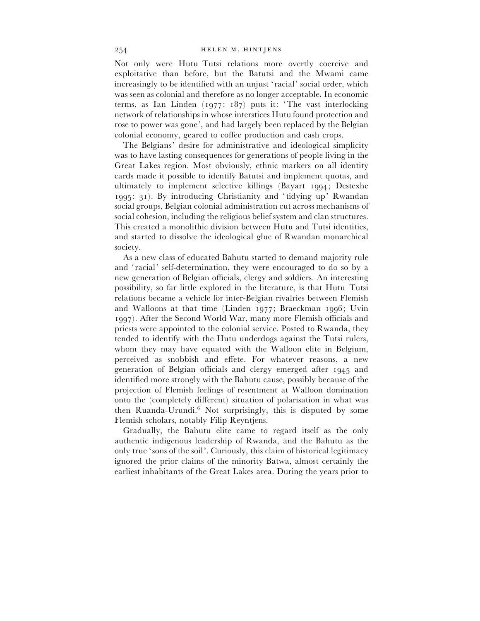Not only were Hutu–Tutsi relations more overtly coercive and exploitative than before, but the Batutsi and the Mwami came increasingly to be identified with an unjust ' racial' social order, which was seen as colonial and therefore as no longer acceptable. In economic terms, as Ian Linden  $(1977: 187)$  puts it: 'The vast interlocking network of relationships in whose interstices Hutu found protection and rose to power was gone', and had largely been replaced by the Belgian colonial economy, geared to coffee production and cash crops.

The Belgians' desire for administrative and ideological simplicity was to have lasting consequences for generations of people living in the Great Lakes region. Most obviously, ethnic markers on all identity cards made it possible to identify Batutsi and implement quotas, and ultimately to implement selective killings (Bayart 1994; Destexhe : ). By introducing Christianity and ' tidying up' Rwandan social groups, Belgian colonial administration cut across mechanisms of social cohesion, including the religious belief system and clan structures. This created a monolithic division between Hutu and Tutsi identities, and started to dissolve the ideological glue of Rwandan monarchical society.

As a new class of educated Bahutu started to demand majority rule and 'racial' self-determination, they were encouraged to do so by a new generation of Belgian officials, clergy and soldiers. An interesting possibility, so far little explored in the literature, is that Hutu–Tutsi relations became a vehicle for inter-Belgian rivalries between Flemish and Walloons at that time (Linden 1977; Braeckman 1996; Uvin ). After the Second World War, many more Flemish officials and priests were appointed to the colonial service. Posted to Rwanda, they tended to identify with the Hutu underdogs against the Tutsi rulers, whom they may have equated with the Walloon elite in Belgium, perceived as snobbish and effete. For whatever reasons, a new generation of Belgian officials and clergy emerged after 1945 and identified more strongly with the Bahutu cause, possibly because of the projection of Flemish feelings of resentment at Walloon domination onto the (completely different) situation of polarisation in what was then Ruanda-Urundi.<sup>6</sup> Not surprisingly, this is disputed by some Flemish scholars, notably Filip Reyntjens.

Gradually, the Bahutu elite came to regard itself as the only authentic indigenous leadership of Rwanda, and the Bahutu as the only true ' sons of the soil'. Curiously, this claim of historical legitimacy ignored the prior claims of the minority Batwa, almost certainly the earliest inhabitants of the Great Lakes area. During the years prior to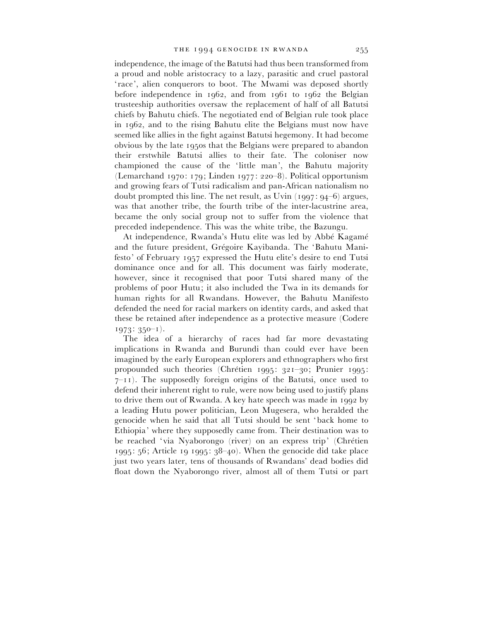independence, the image of the Batutsi had thus been transformed from a proud and noble aristocracy to a lazy, parasitic and cruel pastoral 'race', alien conquerors to boot. The Mwami was deposed shortly before independence in  $1962$ , and from  $1961$  to  $1962$  the Belgian trusteeship authorities oversaw the replacement of half of all Batutsi chiefs by Bahutu chiefs. The negotiated end of Belgian rule took place in 1962, and to the rising Bahutu elite the Belgians must now have seemed like allies in the fight against Batutsi hegemony. It had become obvious by the late 1950s that the Belgians were prepared to abandon their erstwhile Batutsi allies to their fate. The coloniser now championed the cause of the 'little man', the Bahutu majority (Lemarchand 1970: 179; Linden 1977: 220-8). Political opportunism and growing fears of Tutsi radicalism and pan-African nationalism no doubt prompted this line. The net result, as Uvin  $(1997: 94-6)$  argues, was that another tribe, the fourth tribe of the inter-lacustrine area, became the only social group not to suffer from the violence that preceded independence. This was the white tribe, the Bazungu.

At independence, Rwanda's Hutu elite was led by Abbé Kagamé and the future president, Grégoire Kayibanda. The 'Bahutu Manifesto' of February 1957 expressed the Hutu elite's desire to end Tutsi dominance once and for all. This document was fairly moderate, however, since it recognised that poor Tutsi shared many of the problems of poor Hutu; it also included the Twa in its demands for human rights for all Rwandans. However, the Bahutu Manifesto defended the need for racial markers on identity cards, and asked that these be retained after independence as a protective measure (Codere  $1973: 350 - 1$ .

The idea of a hierarchy of races had far more devastating implications in Rwanda and Burundi than could ever have been imagined by the early European explorers and ethnographers who first propounded such theories (Chrétien  $1995: 321-30$ ; Prunier  $1995:$  $7$ – $11$ ). The supposedly foreign origins of the Batutsi, once used to defend their inherent right to rule, were now being used to justify plans to drive them out of Rwanda. A key hate speech was made in 1992 by a leading Hutu power politician, Leon Mugesera, who heralded the genocide when he said that all Tutsi should be sent 'back home to Ethiopia' where they supposedly came from. Their destination was to be reached 'via Nyaborongo (river) on an express trip' (Chrétien 1995: 56; Article 19 1995: 38-40). When the genocide did take place just two years later, tens of thousands of Rwandans' dead bodies did float down the Nyaborongo river, almost all of them Tutsi or part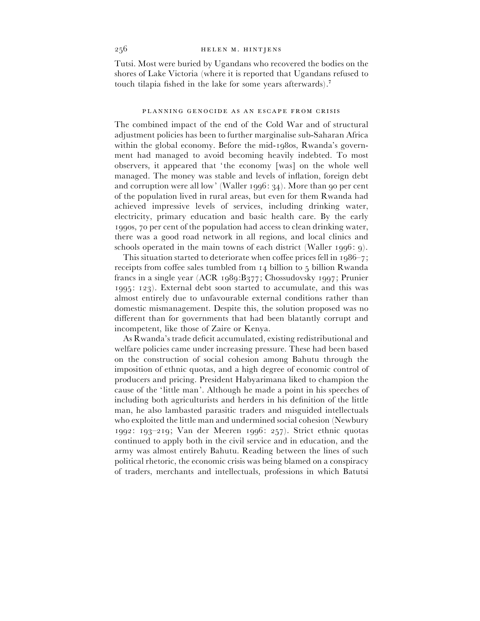Tutsi. Most were buried by Ugandans who recovered the bodies on the shores of Lake Victoria (where it is reported that Ugandans refused to touch tilapia fished in the lake for some years afterwards).<sup>7</sup>

## PLANNING GENOCIDE AS AN ESCAPE FROM CRISIS

The combined impact of the end of the Cold War and of structural adjustment policies has been to further marginalise sub-Saharan Africa within the global economy. Before the mid-1980s, Rwanda's government had managed to avoid becoming heavily indebted. To most observers, it appeared that ' the economy [was] on the whole well managed. The money was stable and levels of inflation, foreign debt and corruption were all low' (Waller  $1996:34$ ). More than 90 per cent of the population lived in rural areas, but even for them Rwanda had achieved impressive levels of services, including drinking water, electricity, primary education and basic health care. By the early 1990s, 70 per cent of the population had access to clean drinking water, there was a good road network in all regions, and local clinics and schools operated in the main towns of each district (Waller  $I_996:$  9).

This situation started to deteriorate when coffee prices fell in  $1986 - 7$ ; receipts from coffee sales tumbled from  $14$  billion to  $5$  billion Rwanda francs in a single year (ACR 1989:B377; Chossudovsky 1997; Prunier  $1995$ :  $123$ ). External debt soon started to accumulate, and this was almost entirely due to unfavourable external conditions rather than domestic mismanagement. Despite this, the solution proposed was no different than for governments that had been blatantly corrupt and incompetent, like those of Zaire or Kenya.

As Rwanda's trade deficit accumulated, existing redistributional and welfare policies came under increasing pressure. These had been based on the construction of social cohesion among Bahutu through the imposition of ethnic quotas, and a high degree of economic control of producers and pricing. President Habyarimana liked to champion the cause of the 'little man'. Although he made a point in his speeches of including both agriculturists and herders in his definition of the little man, he also lambasted parasitic traders and misguided intellectuals who exploited the little man and undermined social cohesion (Newbury  $1992: 193-219$ ; Van der Meeren  $1996: 257$ ). Strict ethnic quotas continued to apply both in the civil service and in education, and the army was almost entirely Bahutu. Reading between the lines of such political rhetoric, the economic crisis was being blamed on a conspiracy of traders, merchants and intellectuals, professions in which Batutsi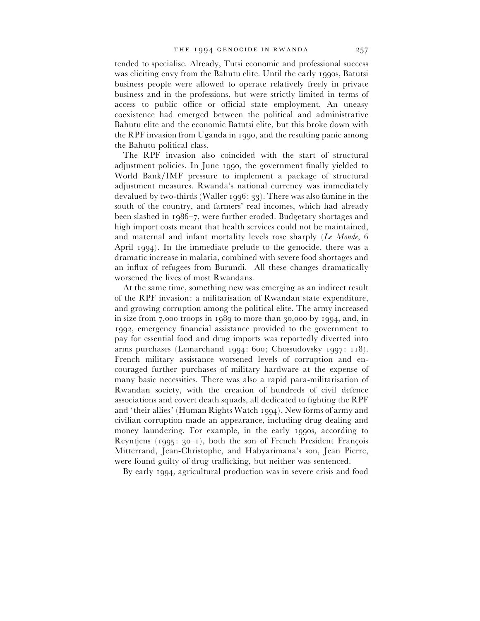tended to specialise. Already, Tutsi economic and professional success was eliciting envy from the Bahutu elite. Until the early 1990s, Batutsi business people were allowed to operate relatively freely in private business and in the professions, but were strictly limited in terms of access to public office or official state employment. An uneasy coexistence had emerged between the political and administrative Bahutu elite and the economic Batutsi elite, but this broke down with the RPF invasion from Uganda in 1990, and the resulting panic among the Bahutu political class.

The RPF invasion also coincided with the start of structural adjustment policies. In June 1990, the government finally yielded to World Bank/IMF pressure to implement a package of structural adjustment measures. Rwanda's national currency was immediately devalued by two-thirds (Waller 1996: 33). There was also famine in the south of the country, and farmers' real incomes, which had already been slashed in  $1986-7$ , were further eroded. Budgetary shortages and high import costs meant that health services could not be maintained, and maternal and infant mortality levels rose sharply (*Le Monde*, April 1994). In the immediate prelude to the genocide, there was a dramatic increase in malaria, combined with severe food shortages and an influx of refugees from Burundi. All these changes dramatically worsened the lives of most Rwandans.

At the same time, something new was emerging as an indirect result of the RPF invasion: a militarisation of Rwandan state expenditure, and growing corruption among the political elite. The army increased in size from  $7,000$  troops in  $1989$  to more than  $30,000$  by  $1994$ , and, in , emergency financial assistance provided to the government to pay for essential food and drug imports was reportedly diverted into arms purchases (Lemarchand  $1994:600;$  Chossudovsky  $1997:118$ ). French military assistance worsened levels of corruption and encouraged further purchases of military hardware at the expense of many basic necessities. There was also a rapid para-militarisation of Rwandan society, with the creation of hundreds of civil defence associations and covert death squads, all dedicated to fighting the RPF and 'their allies' (Human Rights Watch 1994). New forms of army and civilian corruption made an appearance, including drug dealing and money laundering. For example, in the early 1990s, according to Reyntjens ( $1995: 30-1$ ), both the son of French President François Mitterrand, Jean-Christophe, and Habyarimana's son, Jean Pierre, were found guilty of drug trafficking, but neither was sentenced.

By early 1994, agricultural production was in severe crisis and food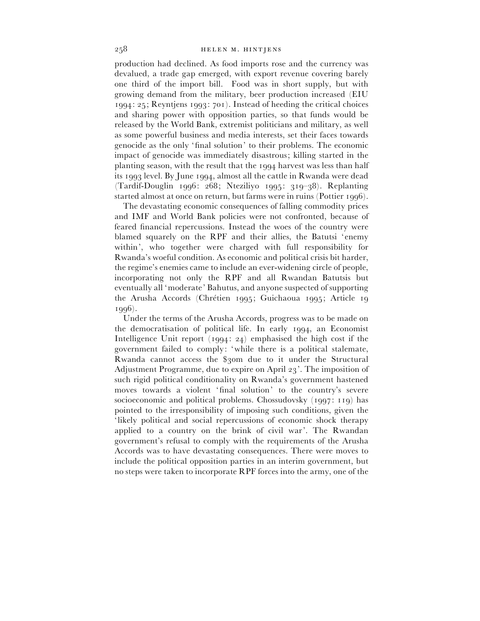production had declined. As food imports rose and the currency was devalued, a trade gap emerged, with export revenue covering barely one third of the import bill. Food was in short supply, but with growing demand from the military, beer production increased (EIU  $1994: 25$ ; Reyntjens  $1993: 701$ . Instead of heeding the critical choices and sharing power with opposition parties, so that funds would be released by the World Bank, extremist politicians and military, as well as some powerful business and media interests, set their faces towards genocide as the only 'final solution' to their problems. The economic impact of genocide was immediately disastrous; killing started in the planting season, with the result that the 1994 harvest was less than half its 1993 level. By June 1994, almost all the cattle in Rwanda were dead (Tardif-Douglin  $1996: 268$ ; Nteziliyo  $1995: 319-38$ ). Replanting started almost at once on return, but farms were in ruins (Pottier  $1996$ ).

The devastating economic consequences of falling commodity prices and IMF and World Bank policies were not confronted, because of feared financial repercussions. Instead the woes of the country were blamed squarely on the RPF and their allies, the Batutsi 'enemy within', who together were charged with full responsibility for Rwanda's woeful condition. As economic and political crisis bit harder, the regime's enemies came to include an ever-widening circle of people, incorporating not only the RPF and all Rwandan Batutsis but eventually all 'moderate' Bahutus, and anyone suspected of supporting the Arusha Accords (Chrétien 1995; Guichaoua 1995; Article 19  $(qq6)$ .

Under the terms of the Arusha Accords, progress was to be made on the democratisation of political life. In early 1994, an Economist Intelligence Unit report  $(1994: 24)$  emphasised the high cost if the government failed to comply: 'while there is a political stalemate, Rwanda cannot access the  $\gamma$  am due to it under the Structural Adjustment Programme, due to expire on April  $23'$ . The imposition of such rigid political conditionality on Rwanda's government hastened moves towards a violent 'final solution' to the country's severe socioeconomic and political problems. Chossudovsky  $(1997: 119)$  has pointed to the irresponsibility of imposing such conditions, given the 'likely political and social repercussions of economic shock therapy applied to a country on the brink of civil war'. The Rwandan government's refusal to comply with the requirements of the Arusha Accords was to have devastating consequences. There were moves to include the political opposition parties in an interim government, but no steps were taken to incorporate RPF forces into the army, one of the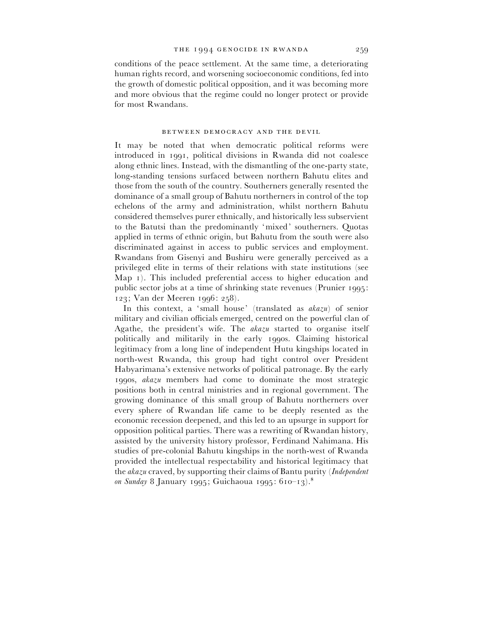conditions of the peace settlement. At the same time, a deteriorating human rights record, and worsening socioeconomic conditions, fed into the growth of domestic political opposition, and it was becoming more and more obvious that the regime could no longer protect or provide for most Rwandans.

## BETWEEN DEMOCRACY AND THE DEVIL

It may be noted that when democratic political reforms were introduced in 1991, political divisions in Rwanda did not coalesce along ethnic lines. Instead, with the dismantling of the one-party state, long-standing tensions surfaced between northern Bahutu elites and those from the south of the country. Southerners generally resented the dominance of a small group of Bahutu northerners in control of the top echelons of the army and administration, whilst northern Bahutu considered themselves purer ethnically, and historically less subservient to the Batutsi than the predominantly 'mixed' southerners. Quotas applied in terms of ethnic origin, but Bahutu from the south were also discriminated against in access to public services and employment. Rwandans from Gisenyi and Bushiru were generally perceived as a privileged elite in terms of their relations with state institutions (see Map 1). This included preferential access to higher education and public sector jobs at a time of shrinking state revenues (Prunier 1995: 123; Van der Meeren 1996: 258).

In this context, a ' small house' (translated as *akazu*) of senior military and civilian officials emerged, centred on the powerful clan of Agathe, the president's wife. The *akazu* started to organise itself politically and militarily in the early s. Claiming historical legitimacy from a long line of independent Hutu kingships located in north-west Rwanda, this group had tight control over President Habyarimana's extensive networks of political patronage. By the early 1990s, *akazu* members had come to dominate the most strategic positions both in central ministries and in regional government. The growing dominance of this small group of Bahutu northerners over every sphere of Rwandan life came to be deeply resented as the economic recession deepened, and this led to an upsurge in support for opposition political parties. There was a rewriting of Rwandan history, assisted by the university history professor, Ferdinand Nahimana. His studies of pre-colonial Bahutu kingships in the north-west of Rwanda provided the intellectual respectability and historical legitimacy that the *akazu* craved, by supporting their claims of Bantu purity (*Independent on Sunday* 8 January 1995; Guichaoua 1995: 610–13).<sup>8</sup>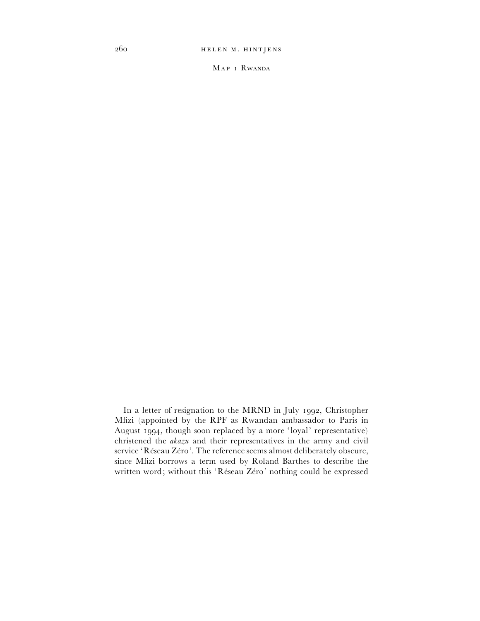MAP I RWANDA

In a letter of resignation to the MRND in July 1992, Christopher Mfizi (appointed by the RPF as Rwandan ambassador to Paris in August 1994, though soon replaced by a more 'loyal' representative) christened the *akazu* and their representatives in the army and civil service 'Réseau Zéro'. The reference seems almost deliberately obscure, since Mfizi borrows a term used by Roland Barthes to describe the written word; without this 'Réseau Zéro' nothing could be expressed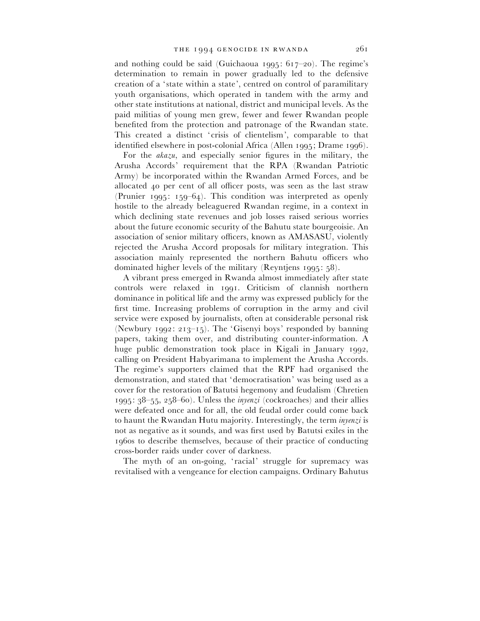and nothing could be said (Guichaoua 1995:  $617-20$ ). The regime's determination to remain in power gradually led to the defensive creation of a ' state within a state', centred on control of paramilitary youth organisations, which operated in tandem with the army and other state institutions at national, district and municipal levels. As the paid militias of young men grew, fewer and fewer Rwandan people benefited from the protection and patronage of the Rwandan state. This created a distinct 'crisis of clientelism', comparable to that identified elsewhere in post-colonial Africa (Allen 1995; Drame 1996).

For the *akazu*, and especially senior figures in the military, the Arusha Accords' requirement that the RPA (Rwandan Patriotic Army) be incorporated within the Rwandan Armed Forces, and be allocated per cent of all officer posts, was seen as the last straw (Prunier 1995: 159–64). This condition was interpreted as openly hostile to the already beleaguered Rwandan regime, in a context in which declining state revenues and job losses raised serious worries about the future economic security of the Bahutu state bourgeoisie. An association of senior military officers, known as AMASASU, violently rejected the Arusha Accord proposals for military integration. This association mainly represented the northern Bahutu officers who dominated higher levels of the military (Reyntjens  $1995: 58$ ).

A vibrant press emerged in Rwanda almost immediately after state controls were relaxed in 1991. Criticism of clannish northern dominance in political life and the army was expressed publicly for the first time. Increasing problems of corruption in the army and civil service were exposed by journalists, often at considerable personal risk (Newbury 1992: 213–15). The 'Gisenyi boys' responded by banning papers, taking them over, and distributing counter-information. A huge public demonstration took place in Kigali in January 1992, calling on President Habyarimana to implement the Arusha Accords. The regime's supporters claimed that the RPF had organised the demonstration, and stated that 'democratisation' was being used as a cover for the restoration of Batutsi hegemony and feudalism (Chretien 1995: 38-55, 258-60). Unless the *inyenzi* (cockroaches) and their allies were defeated once and for all, the old feudal order could come back to haunt the Rwandan Hutu majority. Interestingly, the term *inyenzi* is not as negative as it sounds, and was first used by Batutsi exiles in the s to describe themselves, because of their practice of conducting cross-border raids under cover of darkness.

The myth of an on-going, 'racial' struggle for supremacy was revitalised with a vengeance for election campaigns. Ordinary Bahutus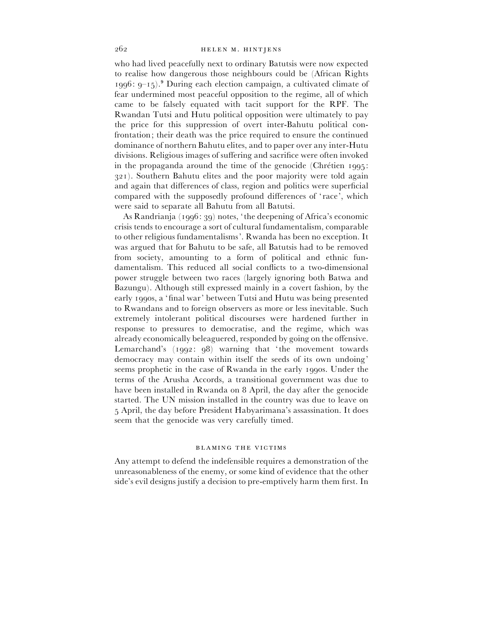who had lived peacefully next to ordinary Batutsis were now expected to realise how dangerous those neighbours could be (African Rights  $1996: 9-15$ . During each election campaign, a cultivated climate of fear undermined most peaceful opposition to the regime, all of which came to be falsely equated with tacit support for the RPF. The Rwandan Tutsi and Hutu political opposition were ultimately to pay the price for this suppression of overt inter-Bahutu political confrontation; their death was the price required to ensure the continued dominance of northern Bahutu elites, and to paper over any inter-Hutu divisions. Religious images of suffering and sacrifice were often invoked in the propaganda around the time of the genocide (Chrétien  $1995$ : ). Southern Bahutu elites and the poor majority were told again and again that differences of class, region and politics were superficial compared with the supposedly profound differences of ' race', which were said to separate all Bahutu from all Batutsi.

As Randrianja  $(1996: 39)$  notes, 'the deepening of Africa's economic crisis tends to encourage a sort of cultural fundamentalism, comparable to other religious fundamentalisms'. Rwanda has been no exception. It was argued that for Bahutu to be safe, all Batutsis had to be removed from society, amounting to a form of political and ethnic fundamentalism. This reduced all social conflicts to a two-dimensional power struggle between two races (largely ignoring both Batwa and Bazungu). Although still expressed mainly in a covert fashion, by the early 1990s, a 'final war' between Tutsi and Hutu was being presented to Rwandans and to foreign observers as more or less inevitable. Such extremely intolerant political discourses were hardened further in response to pressures to democratise, and the regime, which was already economically beleaguered, responded by going on the offensive. Lemarchand's  $(1992: 98)$  warning that 'the movement towards democracy may contain within itself the seeds of its own undoing' seems prophetic in the case of Rwanda in the early 1990s. Under the terms of the Arusha Accords, a transitional government was due to have been installed in Rwanda on 8 April, the day after the genocide started. The UN mission installed in the country was due to leave on April, the day before President Habyarimana's assassination. It does seem that the genocide was very carefully timed.

## **BLAMING THE VICTIMS**

Any attempt to defend the indefensible requires a demonstration of the unreasonableness of the enemy, or some kind of evidence that the other side's evil designs justify a decision to pre-emptively harm them first. In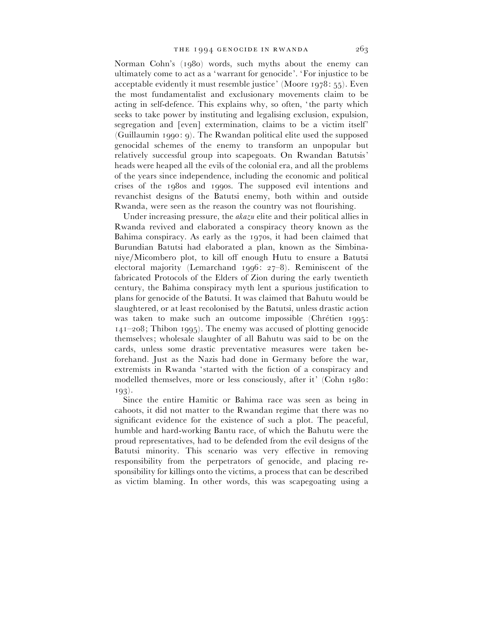Norman Cohn's (1980) words, such myths about the enemy can ultimately come to act as a 'warrant for genocide'. 'For injustice to be acceptable evidently it must resemble justice' (Moore 1978: 55). Even the most fundamentalist and exclusionary movements claim to be acting in self-defence. This explains why, so often, ' the party which seeks to take power by instituting and legalising exclusion, expulsion, segregation and [even] extermination, claims to be a victim itself' (Guillaumin  $1990:9$ ). The Rwandan political elite used the supposed genocidal schemes of the enemy to transform an unpopular but relatively successful group into scapegoats. On Rwandan Batutsis' heads were heaped all the evils of the colonial era, and all the problems of the years since independence, including the economic and political crises of the 1980s and 1990s. The supposed evil intentions and revanchist designs of the Batutsi enemy, both within and outside Rwanda, were seen as the reason the country was not flourishing.

Under increasing pressure, the *akazu* elite and their political allies in Rwanda revived and elaborated a conspiracy theory known as the Bahima conspiracy. As early as the 1970s, it had been claimed that Burundian Batutsi had elaborated a plan, known as the Simbinaniye}Micombero plot, to kill off enough Hutu to ensure a Batutsi electoral majority (Lemarchand 1996:  $27-8$ ). Reminiscent of the fabricated Protocols of the Elders of Zion during the early twentieth century, the Bahima conspiracy myth lent a spurious justification to plans for genocide of the Batutsi. It was claimed that Bahutu would be slaughtered, or at least recolonised by the Batutsi, unless drastic action was taken to make such an outcome impossible (Chrétien 1995:  $141-208$ ; Thibon 1995). The enemy was accused of plotting genocide themselves; wholesale slaughter of all Bahutu was said to be on the cards, unless some drastic preventative measures were taken beforehand. Just as the Nazis had done in Germany before the war, extremists in Rwanda 'started with the fiction of a conspiracy and modelled themselves, more or less consciously, after it' (Cohn : 193).

Since the entire Hamitic or Bahima race was seen as being in cahoots, it did not matter to the Rwandan regime that there was no significant evidence for the existence of such a plot. The peaceful, humble and hard-working Bantu race, of which the Bahutu were the proud representatives, had to be defended from the evil designs of the Batutsi minority. This scenario was very effective in removing responsibility from the perpetrators of genocide, and placing responsibility for killings onto the victims, a process that can be described as victim blaming. In other words, this was scapegoating using a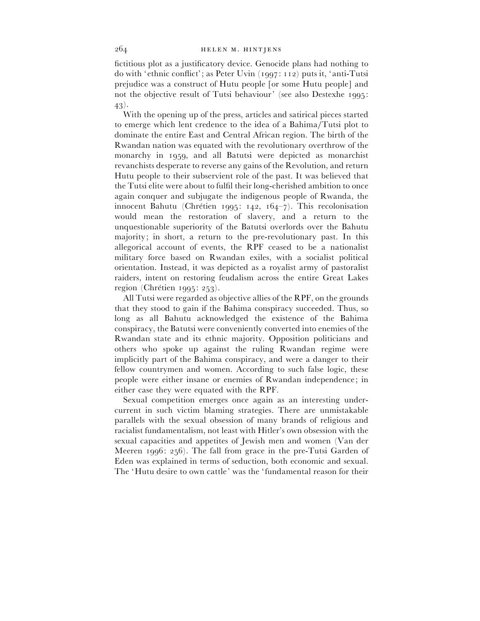fictitious plot as a justificatory device. Genocide plans had nothing to do with 'ethnic conflict'; as Peter Uvin  $(1997:112)$  puts it, 'anti-Tutsi prejudice was a construct of Hutu people [or some Hutu people] and not the objective result of Tutsi behaviour' (see also Destexhe 1995:  $(4.3)$ .

With the opening up of the press, articles and satirical pieces started to emerge which lent credence to the idea of a Bahima/Tutsi plot to dominate the entire East and Central African region. The birth of the Rwandan nation was equated with the revolutionary overthrow of the monarchy in 1959, and all Batutsi were depicted as monarchist revanchists desperate to reverse any gains of the Revolution, and return Hutu people to their subservient role of the past. It was believed that the Tutsi elite were about to fulfil their long-cherished ambition to once again conquer and subjugate the indigenous people of Rwanda, the innocent Bahutu (Chrétien 1995: 142, 164-7). This recolonisation would mean the restoration of slavery, and a return to the unquestionable superiority of the Batutsi overlords over the Bahutu majority; in short, a return to the pre-revolutionary past. In this allegorical account of events, the RPF ceased to be a nationalist military force based on Rwandan exiles, with a socialist political orientation. Instead, it was depicted as a royalist army of pastoralist raiders, intent on restoring feudalism across the entire Great Lakes region (Chrétien  $1995: 253$ ).

All Tutsi were regarded as objective allies of the RPF, on the grounds that they stood to gain if the Bahima conspiracy succeeded. Thus, so long as all Bahutu acknowledged the existence of the Bahima conspiracy, the Batutsi were conveniently converted into enemies of the Rwandan state and its ethnic majority. Opposition politicians and others who spoke up against the ruling Rwandan regime were implicitly part of the Bahima conspiracy, and were a danger to their fellow countrymen and women. According to such false logic, these people were either insane or enemies of Rwandan independence; in either case they were equated with the RPF.

Sexual competition emerges once again as an interesting undercurrent in such victim blaming strategies. There are unmistakable parallels with the sexual obsession of many brands of religious and racialist fundamentalism, not least with Hitler's own obsession with the sexual capacities and appetites of Jewish men and women (Van der Meeren 1996: 256). The fall from grace in the pre-Tutsi Garden of Eden was explained in terms of seduction, both economic and sexual. The 'Hutu desire to own cattle' was the 'fundamental reason for their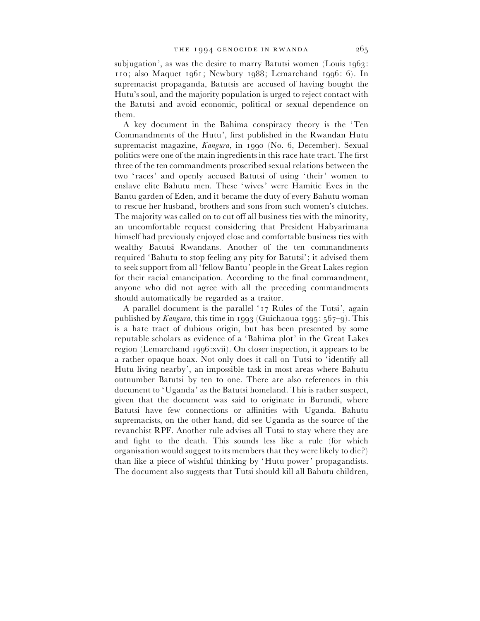subjugation', as was the desire to marry Batutsi women (Louis  $1963$ : 110; also Maquet 1961; Newbury 1988; Lemarchand 1996: 6). In supremacist propaganda, Batutsis are accused of having bought the Hutu's soul, and the majority population is urged to reject contact with the Batutsi and avoid economic, political or sexual dependence on them.

A key document in the Bahima conspiracy theory is the 'Ten Commandments of the Hutu', first published in the Rwandan Hutu supremacist magazine, *Kangura*, in 1990 (No. 6, December). Sexual politics were one of the main ingredients in this race hate tract. The first three of the ten commandments proscribed sexual relations between the two 'races' and openly accused Batutsi of using 'their' women to enslave elite Bahutu men. These 'wives' were Hamitic Eves in the Bantu garden of Eden, and it became the duty of every Bahutu woman to rescue her husband, brothers and sons from such women's clutches. The majority was called on to cut off all business ties with the minority, an uncomfortable request considering that President Habyarimana himself had previously enjoyed close and comfortable business ties with wealthy Batutsi Rwandans. Another of the ten commandments required 'Bahutu to stop feeling any pity for Batutsi'; it advised them to seek support from all 'fellow Bantu' people in the Great Lakes region for their racial emancipation. According to the final commandment, anyone who did not agree with all the preceding commandments should automatically be regarded as a traitor.

A parallel document is the parallel '17 Rules of the Tutsi', again published by *Kangura*, this time in 1993 (Guichaoua 1995:  $567-9$ ). This is a hate tract of dubious origin, but has been presented by some reputable scholars as evidence of a 'Bahima plot' in the Great Lakes region (Lemarchand 1996:xvii). On closer inspection, it appears to be a rather opaque hoax. Not only does it call on Tutsi to 'identify all Hutu living nearby', an impossible task in most areas where Bahutu outnumber Batutsi by ten to one. There are also references in this document to 'Uganda' as the Batutsi homeland. This is rather suspect, given that the document was said to originate in Burundi, where Batutsi have few connections or affinities with Uganda. Bahutu supremacists, on the other hand, did see Uganda as the source of the revanchist RPF. Another rule advises all Tutsi to stay where they are and fight to the death. This sounds less like a rule (for which organisation would suggest to its members that they were likely to die ?) than like a piece of wishful thinking by 'Hutu power' propagandists. The document also suggests that Tutsi should kill all Bahutu children,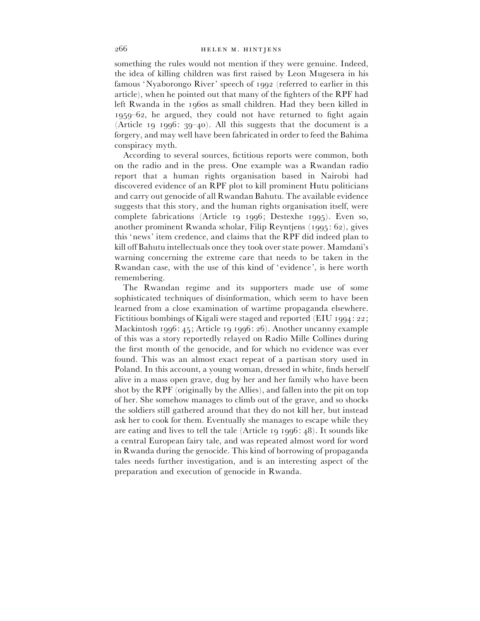something the rules would not mention if they were genuine. Indeed, the idea of killing children was first raised by Leon Mugesera in his famous 'Nyaborongo River' speech of 1992 (referred to earlier in this article), when he pointed out that many of the fighters of the RPF had left Rwanda in the 1960s as small children. Had they been killed in  $1959-62$ , he argued, they could not have returned to fight again (Article  $19 \tlog6: 39-40$ ). All this suggests that the document is a forgery, and may well have been fabricated in order to feed the Bahima conspiracy myth.

According to several sources, fictitious reports were common, both on the radio and in the press. One example was a Rwandan radio report that a human rights organisation based in Nairobi had discovered evidence of an RPF plot to kill prominent Hutu politicians and carry out genocide of all Rwandan Bahutu. The available evidence suggests that this story, and the human rights organisation itself, were complete fabrications (Article  $I_9$   $I_9$  $I_9$  $I_9$ ; Destexhe  $I_9$  $I_9$ ; Even so, another prominent Rwanda scholar, Filip Reyntjens  $(1995: 62)$ , gives this 'news' item credence, and claims that the RPF did indeed plan to kill off Bahutu intellectuals once they took over state power. Mamdani's warning concerning the extreme care that needs to be taken in the Rwandan case, with the use of this kind of 'evidence', is here worth remembering.

The Rwandan regime and its supporters made use of some sophisticated techniques of disinformation, which seem to have been learned from a close examination of wartime propaganda elsewhere. Fictitious bombings of Kigali were staged and reported (EIU 1994: 22; Mackintosh 1996: 45; Article 19 1996: 26). Another uncanny example of this was a story reportedly relayed on Radio Mille Collines during the first month of the genocide, and for which no evidence was ever found. This was an almost exact repeat of a partisan story used in Poland. In this account, a young woman, dressed in white, finds herself alive in a mass open grave, dug by her and her family who have been shot by the RPF (originally by the Allies), and fallen into the pit on top of her. She somehow manages to climb out of the grave, and so shocks the soldiers still gathered around that they do not kill her, but instead ask her to cook for them. Eventually she manages to escape while they are eating and lives to tell the tale (Article  $19 \t{1996}:48$ ). It sounds like a central European fairy tale, and was repeated almost word for word in Rwanda during the genocide. This kind of borrowing of propaganda tales needs further investigation, and is an interesting aspect of the preparation and execution of genocide in Rwanda.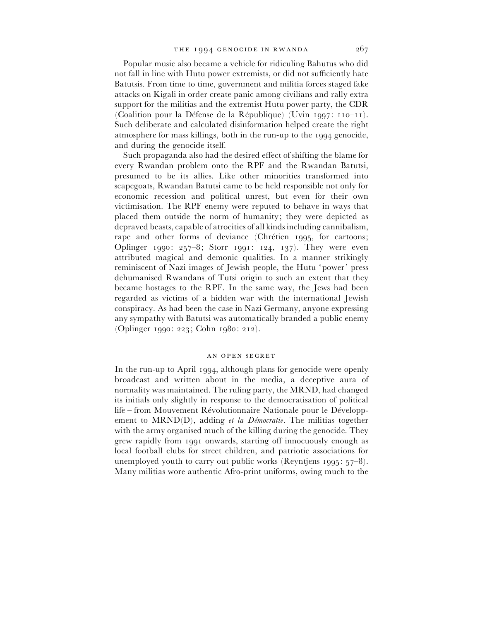Popular music also became a vehicle for ridiculing Bahutus who did not fall in line with Hutu power extremists, or did not sufficiently hate Batutsis. From time to time, government and militia forces staged fake attacks on Kigali in order create panic among civilians and rally extra support for the militias and the extremist Hutu power party, the CDR (Coalition pour la Défense de la République) (Uvin  $1997$ :  $110-11$ ). Such deliberate and calculated disinformation helped create the right atmosphere for mass killings, both in the run-up to the 1994 genocide, and during the genocide itself.

Such propaganda also had the desired effect of shifting the blame for every Rwandan problem onto the RPF and the Rwandan Batutsi, presumed to be its allies. Like other minorities transformed into scapegoats, Rwandan Batutsi came to be held responsible not only for economic recession and political unrest, but even for their own victimisation. The RPF enemy were reputed to behave in ways that placed them outside the norm of humanity; they were depicted as depraved beasts, capable of atrocities of all kinds including cannibalism, rape and other forms of deviance (Chrétien 1995, for cartoons; Oplinger  $1990: 257-8$ ; Storr  $1991: 124, 137$ . They were even attributed magical and demonic qualities. In a manner strikingly reminiscent of Nazi images of Jewish people, the Hutu 'power' press dehumanised Rwandans of Tutsi origin to such an extent that they became hostages to the RPF. In the same way, the Jews had been regarded as victims of a hidden war with the international Jewish conspiracy. As had been the case in Nazi Germany, anyone expressing any sympathy with Batutsi was automatically branded a public enemy (Oplinger 1990: 223; Cohn 1980: 212).

## AN OPEN SECRET

In the run-up to April 1994, although plans for genocide were openly broadcast and written about in the media, a deceptive aura of normality was maintained. The ruling party, the MRND, had changed its initials only slightly in response to the democratisation of political life – from Mouvement Révolutionnaire Nationale pour le Développement to MRND(D), adding *et la Démocratie*. The militias together with the army organised much of the killing during the genocide. They grew rapidly from 1991 onwards, starting off innocuously enough as local football clubs for street children, and patriotic associations for unemployed youth to carry out public works (Reyntjens  $1995: 57-8$ ). Many militias wore authentic Afro-print uniforms, owing much to the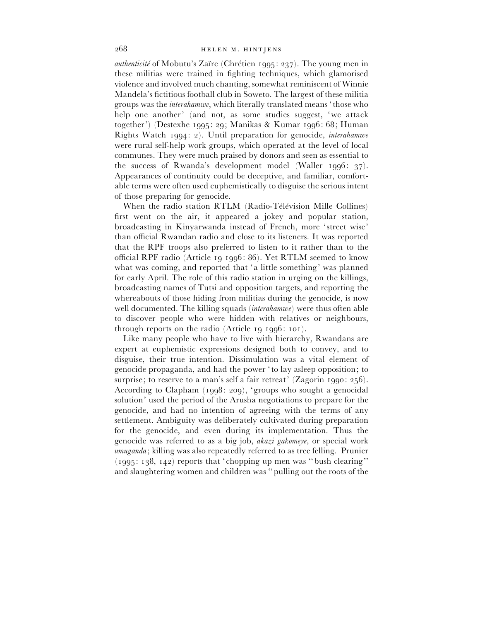*authenticité* of Mobutu's Zaire (Chrétien 1995: 237). The young men in these militias were trained in fighting techniques, which glamorised violence and involved much chanting, somewhat reminiscent of Winnie Mandela's fictitious football club in Soweto. The largest of these militia groups was the *interahamwe*, which literally translated means ' those who help one another' (and not, as some studies suggest, 'we attack together') (Destexhe 1995: 29; Manikas & Kumar 1996: 68; Human Rights Watch 1994: 2). Until preparation for genocide, *interahamwe* were rural self-help work groups, which operated at the level of local communes. They were much praised by donors and seen as essential to the success of Rwanda's development model (Waller  $1996: 37$ ). Appearances of continuity could be deceptive, and familiar, comfortable terms were often used euphemistically to disguise the serious intent of those preparing for genocide.

When the radio station RTLM (Radio-Télévision Mille Collines) first went on the air, it appeared a jokey and popular station, broadcasting in Kinyarwanda instead of French, more 'street wise' than official Rwandan radio and close to its listeners. It was reported that the RPF troops also preferred to listen to it rather than to the official RPF radio (Article 19 1996: 86). Yet RTLM seemed to know what was coming, and reported that 'a little something' was planned for early April. The role of this radio station in urging on the killings, broadcasting names of Tutsi and opposition targets, and reporting the whereabouts of those hiding from militias during the genocide, is now well documented. The killing squads (*interahamwe*) were thus often able to discover people who were hidden with relatives or neighbours, through reports on the radio (Article  $I_9$  1996: 101).

Like many people who have to live with hierarchy, Rwandans are expert at euphemistic expressions designed both to convey, and to disguise, their true intention. Dissimulation was a vital element of genocide propaganda, and had the power ' to lay asleep opposition; to surprise; to reserve to a man's self a fair retreat' (Zagorin 1990: 256). According to Clapham  $(1998: 209)$ , 'groups who sought a genocidal solution' used the period of the Arusha negotiations to prepare for the genocide, and had no intention of agreeing with the terms of any settlement. Ambiguity was deliberately cultivated during preparation for the genocide, and even during its implementation. Thus the genocide was referred to as a big job, *akazi gakomeye*, or special work *umuganda*; killing was also repeatedly referred to as tree felling. Prunier  $(1995: 138, 142)$  reports that 'chopping up men was "bush clearing" and slaughtering women and children was ''pulling out the roots of the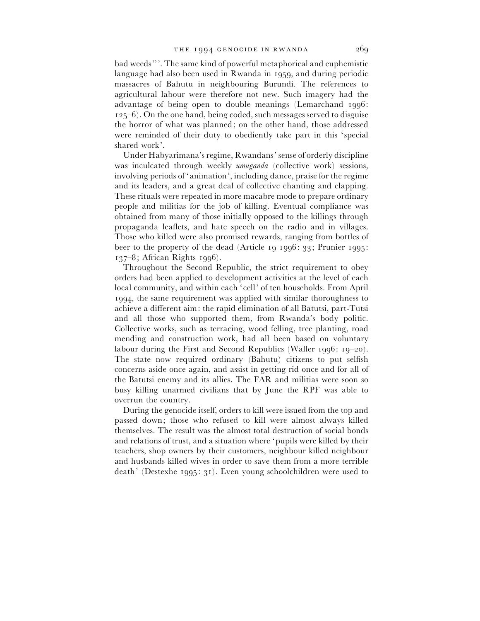bad weeds'''. The same kind of powerful metaphorical and euphemistic language had also been used in Rwanda in  $1959$ , and during periodic massacres of Bahutu in neighbouring Burundi. The references to agricultural labour were therefore not new. Such imagery had the advantage of being open to double meanings (Lemarchand 1996:  $(125-6)$ . On the one hand, being coded, such messages served to disguise the horror of what was planned; on the other hand, those addressed were reminded of their duty to obediently take part in this 'special shared work'.

Under Habyarimana's regime, Rwandans' sense of orderly discipline was inculcated through weekly *umuganda* (collective work) sessions, involving periods of ' animation', including dance, praise for the regime and its leaders, and a great deal of collective chanting and clapping. These rituals were repeated in more macabre mode to prepare ordinary people and militias for the job of killing. Eventual compliance was obtained from many of those initially opposed to the killings through propaganda leaflets, and hate speech on the radio and in villages. Those who killed were also promised rewards, ranging from bottles of beer to the property of the dead (Article  $19 \text{ q}$   $1996$ :  $33$ ; Prunier  $1995$ :  $137-8$ ; African Rights  $1996$ ).

Throughout the Second Republic, the strict requirement to obey orders had been applied to development activities at the level of each local community, and within each 'cell' of ten households. From April , the same requirement was applied with similar thoroughness to achieve a different aim: the rapid elimination of all Batutsi, part-Tutsi and all those who supported them, from Rwanda's body politic. Collective works, such as terracing, wood felling, tree planting, road mending and construction work, had all been based on voluntary labour during the First and Second Republics (Waller  $1996: 19-20$ ). The state now required ordinary (Bahutu) citizens to put selfish concerns aside once again, and assist in getting rid once and for all of the Batutsi enemy and its allies. The FAR and militias were soon so busy killing unarmed civilians that by June the RPF was able to overrun the country.

During the genocide itself, orders to kill were issued from the top and passed down; those who refused to kill were almost always killed themselves. The result was the almost total destruction of social bonds and relations of trust, and a situation where 'pupils were killed by their teachers, shop owners by their customers, neighbour killed neighbour and husbands killed wives in order to save them from a more terrible death' (Destexhe 1995: 31). Even young schoolchildren were used to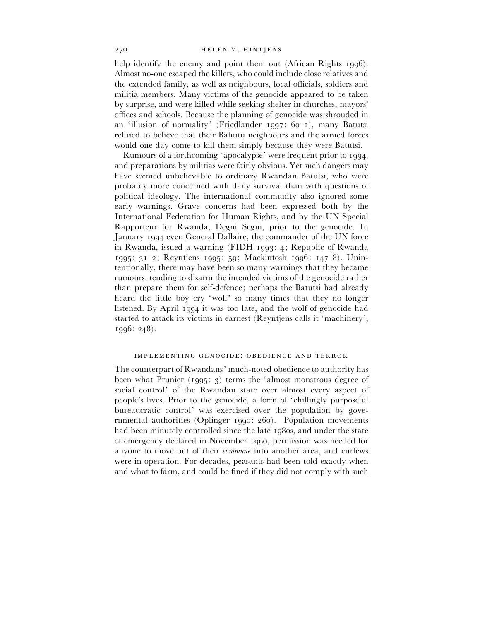help identify the enemy and point them out (African Rights 1996). Almost no-one escaped the killers, who could include close relatives and the extended family, as well as neighbours, local officials, soldiers and militia members. Many victims of the genocide appeared to be taken by surprise, and were killed while seeking shelter in churches, mayors' offices and schools. Because the planning of genocide was shrouded in an 'illusion of normality' (Friedlander 1997:  $60-1$ ), many Batutsi refused to believe that their Bahutu neighbours and the armed forces would one day come to kill them simply because they were Batutsi.

Rumours of a forthcoming 'apocalypse' were frequent prior to 1994, and preparations by militias were fairly obvious. Yet such dangers may have seemed unbelievable to ordinary Rwandan Batutsi, who were probably more concerned with daily survival than with questions of political ideology. The international community also ignored some early warnings. Grave concerns had been expressed both by the International Federation for Human Rights, and by the UN Special Rapporteur for Rwanda, Degni Segui, prior to the genocide. In January 1994 even General Dallaire, the commander of the UN force in Rwanda, issued a warning (FIDH  $1993:4$ ; Republic of Rwanda  $1995: 31-2$ ; Reyntjens  $1995: 59$ ; Mackintosh  $1996: 147-8$ ). Unintentionally, there may have been so many warnings that they became rumours, tending to disarm the intended victims of the genocide rather than prepare them for self-defence; perhaps the Batutsi had already heard the little boy cry 'wolf' so many times that they no longer listened. By April  $iqq4$  it was too late, and the wolf of genocide had started to attack its victims in earnest (Reyntjens calls it 'machinery',  $1996: 248$ .

## IMPLEMENTING GENOCIDE: OBEDIENCE AND TERROR

The counterpart of Rwandans' much-noted obedience to authority has been what Prunier  $(1995: 3)$  terms the 'almost monstrous degree of social control' of the Rwandan state over almost every aspect of people's lives. Prior to the genocide, a form of 'chillingly purposeful bureaucratic control' was exercised over the population by governmental authorities (Oplinger  $1990: 260$ ). Population movements had been minutely controlled since the late 1980s, and under the state of emergency declared in November , permission was needed for anyone to move out of their *commune* into another area, and curfews were in operation. For decades, peasants had been told exactly when and what to farm, and could be fined if they did not comply with such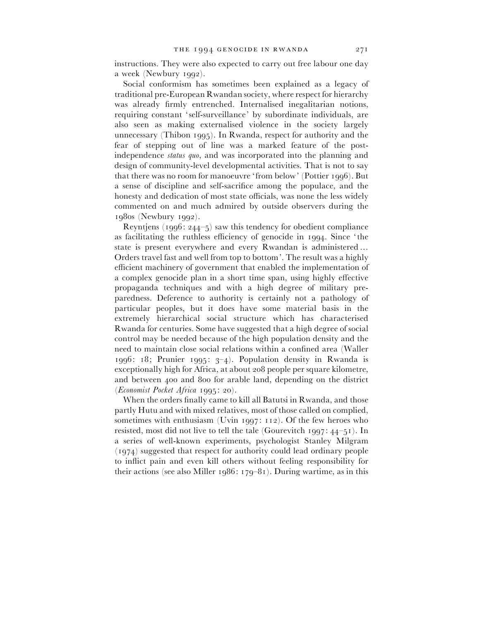instructions. They were also expected to carry out free labour one day a week (Newbury  $1992$ ).

Social conformism has sometimes been explained as a legacy of traditional pre-European Rwandan society, where respect for hierarchy was already firmly entrenched. Internalised inegalitarian notions, requiring constant ' self-surveillance' by subordinate individuals, are also seen as making externalised violence in the society largely unnecessary (Thibon 1995). In Rwanda, respect for authority and the fear of stepping out of line was a marked feature of the postindependence *status quo*, and was incorporated into the planning and design of community-level developmental activities. That is not to say that there was no room for manoeuvre 'from below' (Pottier 1996). But a sense of discipline and self-sacrifice among the populace, and the honesty and dedication of most state officials, was none the less widely commented on and much admired by outside observers during the  $1980s$  (Newbury  $1992$ ).

Reyntjens ( $1996: 244-5$ ) saw this tendency for obedient compliance as facilitating the ruthless efficiency of genocide in 1994. Since 'the state is present everywhere and every Rwandan is administered… Orders travel fast and well from top to bottom'. The result was a highly efficient machinery of government that enabled the implementation of a complex genocide plan in a short time span, using highly effective propaganda techniques and with a high degree of military preparedness. Deference to authority is certainly not a pathology of particular peoples, but it does have some material basis in the extremely hierarchical social structure which has characterised Rwanda for centuries. Some have suggested that a high degree of social control may be needed because of the high population density and the need to maintain close social relations within a confined area (Waller 1996: 18; Prunier 1995:  $3-4$ ). Population density in Rwanda is exceptionally high for Africa, at about 208 people per square kilometre, and between 400 and 800 for arable land, depending on the district  $(E{\rm \textit{conomist}~}$  *Pocket Africa*  $1995$ : 20).

When the orders finally came to kill all Batutsi in Rwanda, and those partly Hutu and with mixed relatives, most of those called on complied, sometimes with enthusiasm (Uvin 1997: 112). Of the few heroes who resisted, most did not live to tell the tale (Gourevitch  $1997:44-51$ ). In a series of well-known experiments, psychologist Stanley Milgram  $(1974)$  suggested that respect for authority could lead ordinary people to inflict pain and even kill others without feeling responsibility for their actions (see also Miller 1986: 179–81). During wartime, as in this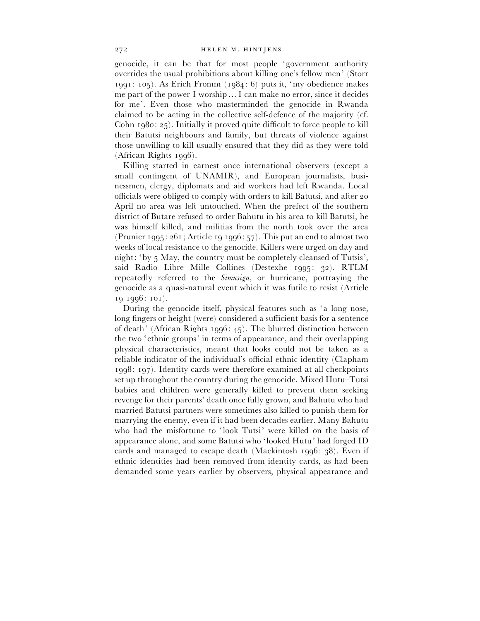genocide, it can be that for most people ' government authority overrides the usual prohibitions about killing one's fellow men' (Storr  $1991: 105$ ). As Erich Fromm  $(1984: 6)$  puts it, 'my obedience makes me part of the power I worship… I can make no error, since it decides for me'. Even those who masterminded the genocide in Rwanda claimed to be acting in the collective self-defence of the majority (cf. Cohn  $1980:25$ ). Initially it proved quite difficult to force people to kill their Batutsi neighbours and family, but threats of violence against those unwilling to kill usually ensured that they did as they were told (African Rights  $1996$ ).

Killing started in earnest once international observers (except a small contingent of UNAMIR), and European journalists, businessmen, clergy, diplomats and aid workers had left Rwanda. Local officials were obliged to comply with orders to kill Batutsi, and after April no area was left untouched. When the prefect of the southern district of Butare refused to order Bahutu in his area to kill Batutsi, he was himself killed, and militias from the north took over the area (Prunier 1995:  $261$ ; Article 19 1996: 57). This put an end to almost two weeks of local resistance to the genocide. Killers were urged on day and night: 'by 5 May, the country must be completely cleansed of Tutsis', said Radio Libre Mille Collines (Destexhe 1995: 32). RTLM repeatedly referred to the *Simusiga*, or hurricane, portraying the genocide as a quasi-natural event which it was futile to resist (Article 19 1996: 101).

During the genocide itself, physical features such as 'a long nose, long fingers or height (were) considered a sufficient basis for a sentence of death' (African Rights  $1996: 45$ ). The blurred distinction between the two 'ethnic groups' in terms of appearance, and their overlapping physical characteristics, meant that looks could not be taken as a reliable indicator of the individual's official ethnic identity (Clapham : ). Identity cards were therefore examined at all checkpoints set up throughout the country during the genocide. Mixed Hutu–Tutsi babies and children were generally killed to prevent them seeking revenge for their parents' death once fully grown, and Bahutu who had married Batutsi partners were sometimes also killed to punish them for marrying the enemy, even if it had been decades earlier. Many Bahutu who had the misfortune to 'look Tutsi' were killed on the basis of appearance alone, and some Batutsi who 'looked Hutu' had forged ID cards and managed to escape death (Mackintosh  $1996: 38$ ). Even if ethnic identities had been removed from identity cards, as had been demanded some years earlier by observers, physical appearance and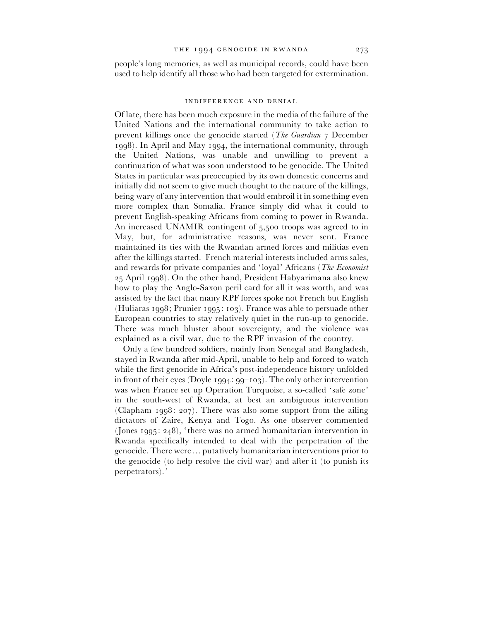people's long memories, as well as municipal records, could have been used to help identify all those who had been targeted for extermination.

#### INDIFFERENCE AND DENIAL

Of late, there has been much exposure in the media of the failure of the United Nations and the international community to take action to prevent killings once the genocide started (*The Guardian* December 1998). In April and May 1994, the international community, through the United Nations, was unable and unwilling to prevent a continuation of what was soon understood to be genocide. The United States in particular was preoccupied by its own domestic concerns and initially did not seem to give much thought to the nature of the killings, being wary of any intervention that would embroil it in something even more complex than Somalia. France simply did what it could to prevent English-speaking Africans from coming to power in Rwanda. An increased UNAMIR contingent of  $5,500$  troops was agreed to in May, but, for administrative reasons, was never sent. France maintained its ties with the Rwandan armed forces and militias even after the killings started. French material interests included arms sales, and rewards for private companies and 'loyal' Africans (*The Economist* April ). On the other hand, President Habyarimana also knew how to play the Anglo-Saxon peril card for all it was worth, and was assisted by the fact that many RPF forces spoke not French but English (Huliaras 1998; Prunier 1995: 103). France was able to persuade other European countries to stay relatively quiet in the run-up to genocide. There was much bluster about sovereignty, and the violence was explained as a civil war, due to the RPF invasion of the country.

Only a few hundred soldiers, mainly from Senegal and Bangladesh, stayed in Rwanda after mid-April, unable to help and forced to watch while the first genocide in Africa's post-independence history unfolded in front of their eyes (Doyle  $1994:99-103$ ). The only other intervention was when France set up Operation Turquoise, a so-called 'safe zone' in the south-west of Rwanda, at best an ambiguous intervention (Clapham  $1998: 207$ ). There was also some support from the ailing dictators of Zaire, Kenya and Togo. As one observer commented (Jones  $1995: 248$ ), 'there was no armed humanitarian intervention in Rwanda specifically intended to deal with the perpetration of the genocide. There were… putatively humanitarian interventions prior to the genocide (to help resolve the civil war) and after it (to punish its perpetrators).'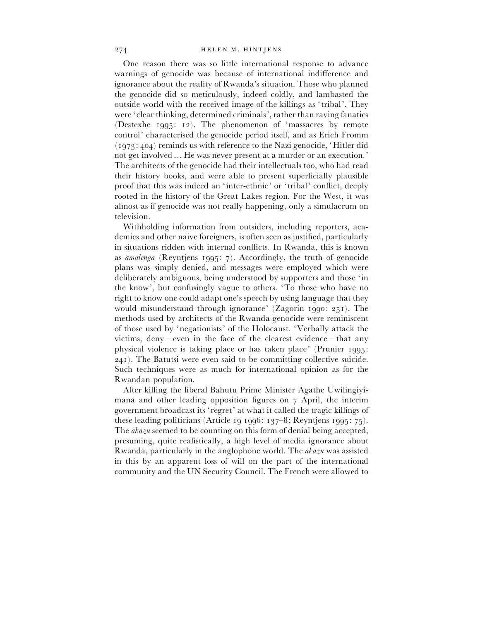## 274 HELEN M. HINTJENS

One reason there was so little international response to advance warnings of genocide was because of international indifference and ignorance about the reality of Rwanda's situation. Those who planned the genocide did so meticulously, indeed coldly, and lambasted the outside world with the received image of the killings as ' tribal'. They were 'clear thinking, determined criminals', rather than raving fanatics (Destexhe  $1995: 12$ ). The phenomenon of 'massacres by remote control' characterised the genocide period itself, and as Erich Fromm  $(1973:404)$  reminds us with reference to the Nazi genocide, 'Hitler did not get involved… He was never present at a murder or an execution.' The architects of the genocide had their intellectuals too, who had read their history books, and were able to present superficially plausible proof that this was indeed an 'inter-ethnic' or ' tribal' conflict, deeply rooted in the history of the Great Lakes region. For the West, it was almost as if genocide was not really happening, only a simulacrum on television.

Withholding information from outsiders, including reporters, academics and other naive foreigners, is often seen as justified, particularly in situations ridden with internal conflicts. In Rwanda, this is known as *amalenga* (Reyntjens 1995: 7). Accordingly, the truth of genocide plans was simply denied, and messages were employed which were deliberately ambiguous, being understood by supporters and those 'in the know', but confusingly vague to others. 'To those who have no right to know one could adapt one's speech by using language that they would misunderstand through ignorance' (Zagorin 1990:  $251$ ). The methods used by architects of the Rwanda genocide were reminiscent of those used by 'negationists' of the Holocaust. 'Verbally attack the victims, deny – even in the face of the clearest evidence – that any physical violence is taking place or has taken place' (Prunier : ). The Batutsi were even said to be committing collective suicide. Such techniques were as much for international opinion as for the Rwandan population.

After killing the liberal Bahutu Prime Minister Agathe Uwilingiyimana and other leading opposition figures on  $7$  April, the interim government broadcast its ' regret' at what it called the tragic killings of these leading politicians (Article 19 1996: 137–8; Reyntjens 1995: 75). The *akazu* seemed to be counting on this form of denial being accepted, presuming, quite realistically, a high level of media ignorance about Rwanda, particularly in the anglophone world. The *akazu* was assisted in this by an apparent loss of will on the part of the international community and the UN Security Council. The French were allowed to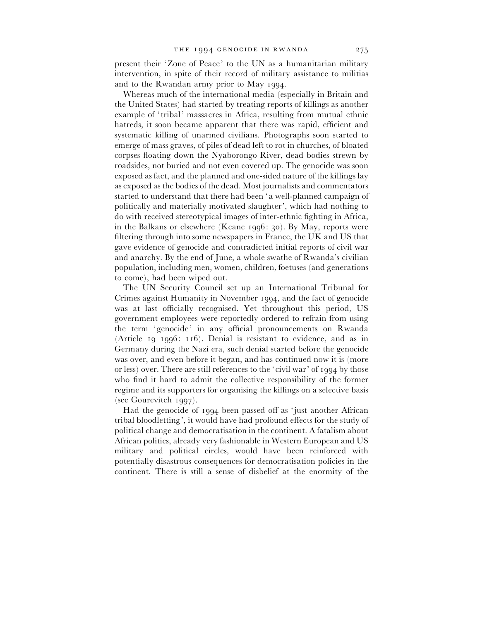present their 'Zone of Peace' to the UN as a humanitarian military intervention, in spite of their record of military assistance to militias and to the Rwandan army prior to May 1994.

Whereas much of the international media (especially in Britain and the United States) had started by treating reports of killings as another example of ' tribal' massacres in Africa, resulting from mutual ethnic hatreds, it soon became apparent that there was rapid, efficient and systematic killing of unarmed civilians. Photographs soon started to emerge of mass graves, of piles of dead left to rot in churches, of bloated corpses floating down the Nyaborongo River, dead bodies strewn by roadsides, not buried and not even covered up. The genocide was soon exposed as fact, and the planned and one-sided nature of the killings lay as exposed as the bodies of the dead. Most journalists and commentators started to understand that there had been ' a well-planned campaign of politically and materially motivated slaughter', which had nothing to do with received stereotypical images of inter-ethnic fighting in Africa, in the Balkans or elsewhere (Keane 1996: 30). By May, reports were filtering through into some newspapers in France, the UK and US that gave evidence of genocide and contradicted initial reports of civil war and anarchy. By the end of June, a whole swathe of Rwanda's civilian population, including men, women, children, foetuses (and generations to come), had been wiped out.

The UN Security Council set up an International Tribunal for Crimes against Humanity in November 1994, and the fact of genocide was at last officially recognised. Yet throughout this period, US government employees were reportedly ordered to refrain from using the term 'genocide' in any official pronouncements on Rwanda (Article  $I_9$  1996: 116). Denial is resistant to evidence, and as in Germany during the Nazi era, such denial started before the genocide was over, and even before it began, and has continued now it is (more or less) over. There are still references to the 'civil war' of 1994 by those who find it hard to admit the collective responsibility of the former regime and its supporters for organising the killings on a selective basis (see Gourevitch  $1997$ ).

Had the genocide of 1994 been passed off as 'just another African tribal bloodletting', it would have had profound effects for the study of political change and democratisation in the continent. A fatalism about African politics, already very fashionable in Western European and US military and political circles, would have been reinforced with potentially disastrous consequences for democratisation policies in the continent. There is still a sense of disbelief at the enormity of the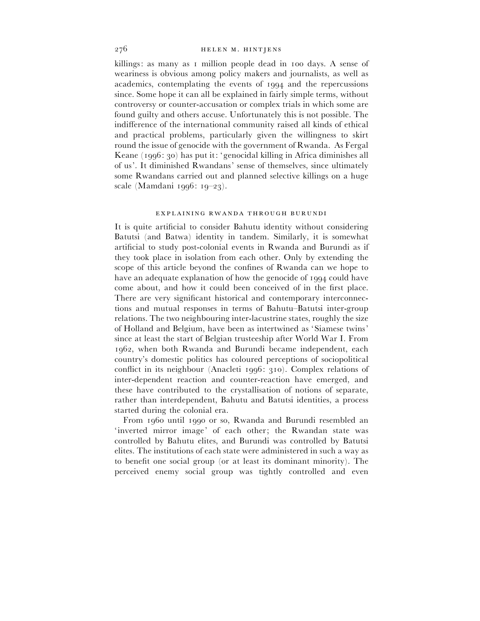killings: as many as I million people dead in 100 days. A sense of weariness is obvious among policy makers and journalists, as well as academics, contemplating the events of 1994 and the repercussions since. Some hope it can all be explained in fairly simple terms, without controversy or counter-accusation or complex trials in which some are found guilty and others accuse. Unfortunately this is not possible. The indifference of the international community raised all kinds of ethical and practical problems, particularly given the willingness to skirt round the issue of genocide with the government of Rwanda. As Fergal Keane (1996: 30) has put it: 'genocidal killing in Africa diminishes all of us'. It diminished Rwandans' sense of themselves, since ultimately some Rwandans carried out and planned selective killings on a huge scale (Mamdani  $1996: 19-23$ ).

#### EXPLAINING RWANDA THROUGH BURUNDI

It is quite artificial to consider Bahutu identity without considering Batutsi (and Batwa) identity in tandem. Similarly, it is somewhat artificial to study post-colonial events in Rwanda and Burundi as if they took place in isolation from each other. Only by extending the scope of this article beyond the confines of Rwanda can we hope to have an adequate explanation of how the genocide of 1994 could have come about, and how it could been conceived of in the first place. There are very significant historical and contemporary interconnections and mutual responses in terms of Bahutu–Batutsi inter-group relations. The two neighbouring inter-lacustrine states, roughly the size of Holland and Belgium, have been as intertwined as 'Siamese twins' since at least the start of Belgian trusteeship after World War I. From 1962, when both Rwanda and Burundi became independent, each country's domestic politics has coloured perceptions of sociopolitical conflict in its neighbour (Anacleti 1996: 310). Complex relations of inter-dependent reaction and counter-reaction have emerged, and these have contributed to the crystallisation of notions of separate, rather than interdependent, Bahutu and Batutsi identities, a process started during the colonial era.

From 1960 until 1990 or so, Rwanda and Burundi resembled an 'inverted mirror image' of each other; the Rwandan state was controlled by Bahutu elites, and Burundi was controlled by Batutsi elites. The institutions of each state were administered in such a way as to benefit one social group (or at least its dominant minority). The perceived enemy social group was tightly controlled and even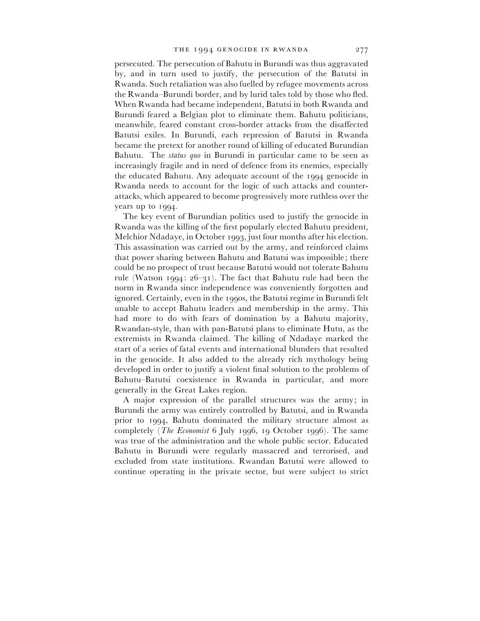persecuted. The persecution of Bahutu in Burundi was thus aggravated by, and in turn used to justify, the persecution of the Batutsi in Rwanda. Such retaliation was also fuelled by refugee movements across the Rwanda–Burundi border, and by lurid tales told by those who fled. When Rwanda had became independent, Batutsi in both Rwanda and Burundi feared a Belgian plot to eliminate them. Bahutu politicians, meanwhile, feared constant cross-border attacks from the disaffected Batutsi exiles. In Burundi, each repression of Batutsi in Rwanda became the pretext for another round of killing of educated Burundian Bahutu. The *status quo* in Burundi in particular came to be seen as increasingly fragile and in need of defence from its enemies, especially the educated Bahutu. Any adequate account of the 1994 genocide in Rwanda needs to account for the logic of such attacks and counterattacks, which appeared to become progressively more ruthless over the years up to 1994.

The key event of Burundian politics used to justify the genocide in Rwanda was the killing of the first popularly elected Bahutu president, Melchior Ndadaye, in October 1993, just four months after his election. This assassination was carried out by the army, and reinforced claims that power sharing between Bahutu and Batutsi was impossible; there could be no prospect of trust because Batutsi would not tolerate Bahutu rule (Watson 1994:  $26-31$ ). The fact that Bahutu rule had been the norm in Rwanda since independence was conveniently forgotten and ignored. Certainly, even in the 1990s, the Batutsi regime in Burundi felt unable to accept Bahutu leaders and membership in the army. This had more to do with fears of domination by a Bahutu majority, Rwandan-style, than with pan-Batutsi plans to eliminate Hutu, as the extremists in Rwanda claimed. The killing of Ndadaye marked the start of a series of fatal events and international blunders that resulted in the genocide. It also added to the already rich mythology being developed in order to justify a violent final solution to the problems of Bahutu–Batutsi coexistence in Rwanda in particular, and more generally in the Great Lakes region.

A major expression of the parallel structures was the army; in Burundi the army was entirely controlled by Batutsi, and in Rwanda prior to 1994, Bahutu dominated the military structure almost as completely (*The Economist* 6 July 1996, 19 October 1996). The same was true of the administration and the whole public sector. Educated Bahutu in Burundi were regularly massacred and terrorised, and excluded from state institutions. Rwandan Batutsi were allowed to continue operating in the private sector, but were subject to strict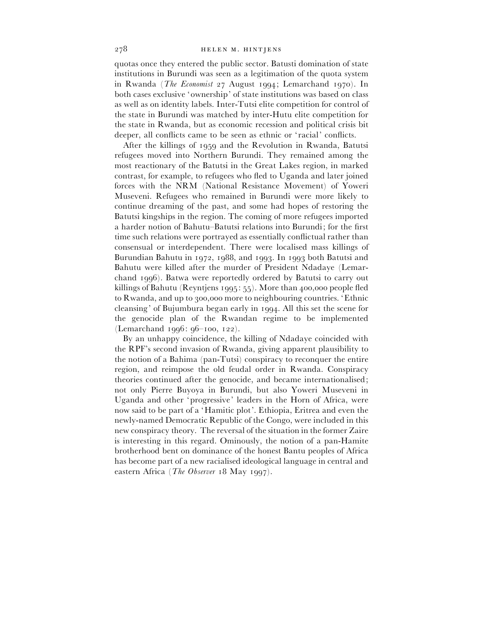quotas once they entered the public sector. Batusti domination of state institutions in Burundi was seen as a legitimation of the quota system in Rwanda (*The Economist* 27 August 1994; Lemarchand 1970). In both cases exclusive ' ownership' of state institutions was based on class as well as on identity labels. Inter-Tutsi elite competition for control of the state in Burundi was matched by inter-Hutu elite competition for the state in Rwanda, but as economic recession and political crisis bit deeper, all conflicts came to be seen as ethnic or 'racial' conflicts.

After the killings of 1959 and the Revolution in Rwanda, Batutsi refugees moved into Northern Burundi. They remained among the most reactionary of the Batutsi in the Great Lakes region, in marked contrast, for example, to refugees who fled to Uganda and later joined forces with the NRM (National Resistance Movement) of Yoweri Museveni. Refugees who remained in Burundi were more likely to continue dreaming of the past, and some had hopes of restoring the Batutsi kingships in the region. The coming of more refugees imported a harder notion of Bahutu–Batutsi relations into Burundi; for the first time such relations were portrayed as essentially conflictual rather than consensual or interdependent. There were localised mass killings of Burundian Bahutu in 1972, 1988, and 1993. In 1993 both Batutsi and Bahutu were killed after the murder of President Ndadaye (Lemarchand 1996). Batwa were reportedly ordered by Batutsi to carry out killings of Bahutu (Reyntjens 1995:  $55$ ). More than 400,000 people fled to Rwanda, and up to 300,000 more to neighbouring countries. 'Ethnic cleansing' of Bujumbura began early in 1994. All this set the scene for the genocide plan of the Rwandan regime to be implemented  $(Lemma 1996: 96 - 100, 122).$ 

By an unhappy coincidence, the killing of Ndadaye coincided with the RPF's second invasion of Rwanda, giving apparent plausibility to the notion of a Bahima (pan-Tutsi) conspiracy to reconquer the entire region, and reimpose the old feudal order in Rwanda. Conspiracy theories continued after the genocide, and became internationalised; not only Pierre Buyoya in Burundi, but also Yoweri Museveni in Uganda and other 'progressive' leaders in the Horn of Africa, were now said to be part of a 'Hamitic plot'. Ethiopia, Eritrea and even the newly-named Democratic Republic of the Congo, were included in this new conspiracy theory. The reversal of the situation in the former Zaire is interesting in this regard. Ominously, the notion of a pan-Hamite brotherhood bent on dominance of the honest Bantu peoples of Africa has become part of a new racialised ideological language in central and eastern Africa (*The Observer* 18 May 1997).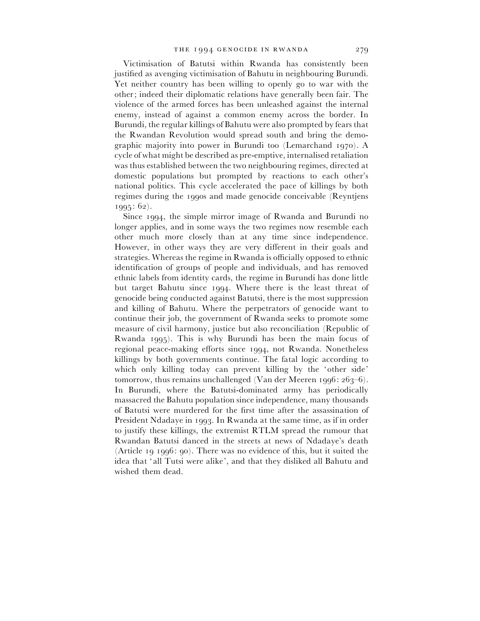Victimisation of Batutsi within Rwanda has consistently been justified as avenging victimisation of Bahutu in neighbouring Burundi. Yet neither country has been willing to openly go to war with the other; indeed their diplomatic relations have generally been fair. The violence of the armed forces has been unleashed against the internal enemy, instead of against a common enemy across the border. In Burundi, the regular killings of Bahutu were also prompted by fears that the Rwandan Revolution would spread south and bring the demographic majority into power in Burundi too (Lemarchand  $1970$ ). A cycle of what might be described as pre-emptive, internalised retaliation was thus established between the two neighbouring regimes, directed at domestic populations but prompted by reactions to each other's national politics. This cycle accelerated the pace of killings by both regimes during the 1990s and made genocide conceivable (Reyntjens  $1995: 62$ .

Since 1994, the simple mirror image of Rwanda and Burundi no longer applies, and in some ways the two regimes now resemble each other much more closely than at any time since independence. However, in other ways they are very different in their goals and strategies. Whereas the regime in Rwanda is officially opposed to ethnic identification of groups of people and individuals, and has removed ethnic labels from identity cards, the regime in Burundi has done little but target Bahutu since 1994. Where there is the least threat of genocide being conducted against Batutsi, there is the most suppression and killing of Bahutu. Where the perpetrators of genocide want to continue their job, the government of Rwanda seeks to promote some measure of civil harmony, justice but also reconciliation (Republic of Rwanda 1995). This is why Burundi has been the main focus of regional peace-making efforts since 1994, not Rwanda. Nonetheless killings by both governments continue. The fatal logic according to which only killing today can prevent killing by the 'other side' tomorrow, thus remains unchallenged (Van der Meeren 1996:  $263-6$ ). In Burundi, where the Batutsi-dominated army has periodically massacred the Bahutu population since independence, many thousands of Batutsi were murdered for the first time after the assassination of President Ndadaye in 1993. In Rwanda at the same time, as if in order to justify these killings, the extremist RTLM spread the rumour that Rwandan Batutsi danced in the streets at news of Ndadaye's death (Article  $: q_1 q_0 6: q_0$ ). There was no evidence of this, but it suited the idea that ' all Tutsi were alike', and that they disliked all Bahutu and wished them dead.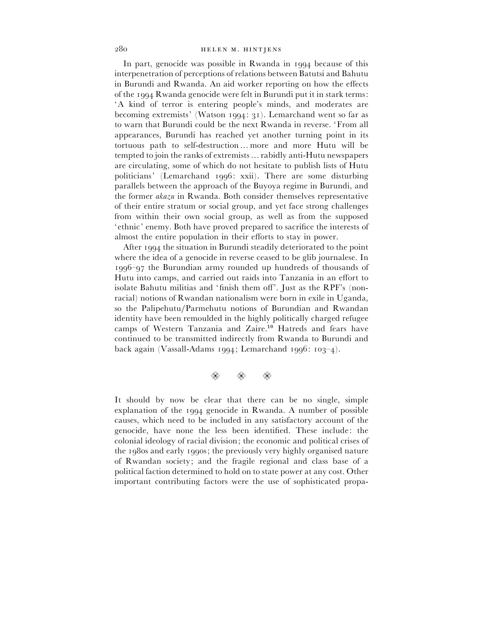# 280 HELEN M. HINTIENS

In part, genocide was possible in Rwanda in 1994 because of this interpenetration of perceptions of relations between Batutsi and Bahutu in Burundi and Rwanda. An aid worker reporting on how the effects of the 1994 Rwanda genocide were felt in Burundi put it in stark terms: 'A kind of terror is entering people's minds, and moderates are becoming extremists' (Watson 1994: 31). Lemarchand went so far as to warn that Burundi could be the next Rwanda in reverse. 'From all appearances, Burundi has reached yet another turning point in its tortuous path to self-destruction… more and more Hutu will be tempted to join the ranks of extremists… rabidly anti-Hutu newspapers are circulating, some of which do not hesitate to publish lists of Hutu politicians' (Lemarchand 1996: xxii). There are some disturbing parallels between the approach of the Buyoya regime in Burundi, and the former *akazu* in Rwanda. Both consider themselves representative of their entire stratum or social group, and yet face strong challenges from within their own social group, as well as from the supposed 'ethnic' enemy. Both have proved prepared to sacrifice the interests of almost the entire population in their efforts to stay in power.

After 1994 the situation in Burundi steadily deteriorated to the point where the idea of a genocide in reverse ceased to be glib journalese. In 1996–97 the Burundian army rounded up hundreds of thousands of Hutu into camps, and carried out raids into Tanzania in an effort to isolate Bahutu militias and 'finish them off'. Just as the RPF's (nonracial) notions of Rwandan nationalism were born in exile in Uganda, so the Palipehutu/Parmehutu notions of Burundian and Rwandan identity have been remoulded in the highly politically charged refugee camps of Western Tanzania and Zaire.<sup>10</sup> Hatreds and fears have continued to be transmitted indirectly from Rwanda to Burundi and back again (Vassall-Adams 1994; Lemarchand 1996: 103-4).

\*

It should by now be clear that there can be no single, simple explanation of the  $1994$  genocide in Rwanda. A number of possible causes, which need to be included in any satisfactory account of the genocide, have none the less been identified. These include: the colonial ideology of racial division; the economic and political crises of the 1980s and early 1990s; the previously very highly organised nature of Rwandan society; and the fragile regional and class base of a political faction determined to hold on to state power at any cost. Other important contributing factors were the use of sophisticated propa-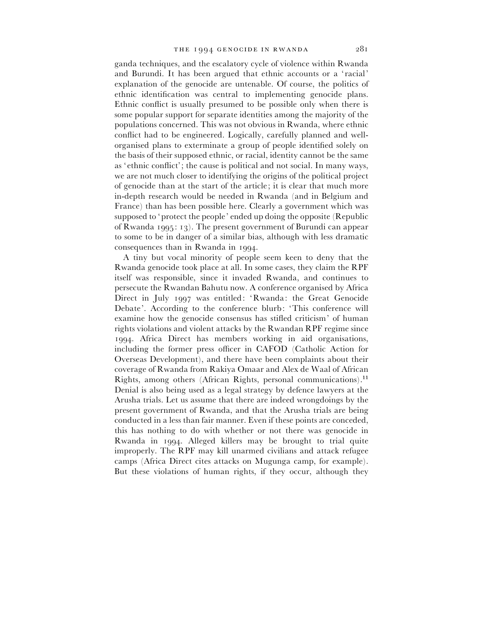ganda techniques, and the escalatory cycle of violence within Rwanda and Burundi. It has been argued that ethnic accounts or a ' racial' explanation of the genocide are untenable. Of course, the politics of ethnic identification was central to implementing genocide plans. Ethnic conflict is usually presumed to be possible only when there is some popular support for separate identities among the majority of the populations concerned. This was not obvious in Rwanda, where ethnic conflict had to be engineered. Logically, carefully planned and wellorganised plans to exterminate a group of people identified solely on the basis of their supposed ethnic, or racial, identity cannot be the same as 'ethnic conflict'; the cause is political and not social. In many ways, we are not much closer to identifying the origins of the political project of genocide than at the start of the article; it is clear that much more in-depth research would be needed in Rwanda (and in Belgium and France) than has been possible here. Clearly a government which was supposed to 'protect the people' ended up doing the opposite (Republic of Rwanda  $1995$ :  $13$ ). The present government of Burundi can appear to some to be in danger of a similar bias, although with less dramatic consequences than in Rwanda in 1994.

A tiny but vocal minority of people seem keen to deny that the Rwanda genocide took place at all. In some cases, they claim the RPF itself was responsible, since it invaded Rwanda, and continues to persecute the Rwandan Bahutu now. A conference organised by Africa Direct in July 1997 was entitled: 'Rwanda: the Great Genocide Debate'. According to the conference blurb: 'This conference will examine how the genocide consensus has stifled criticism' of human rights violations and violent attacks by the Rwandan RPF regime since . Africa Direct has members working in aid organisations, including the former press officer in CAFOD (Catholic Action for Overseas Development), and there have been complaints about their coverage of Rwanda from Rakiya Omaar and Alex de Waal of African Rights, among others (African Rights, personal communications)."" Denial is also being used as a legal strategy by defence lawyers at the Arusha trials. Let us assume that there are indeed wrongdoings by the present government of Rwanda, and that the Arusha trials are being conducted in a less than fair manner. Even if these points are conceded, this has nothing to do with whether or not there was genocide in Rwanda in 1994. Alleged killers may be brought to trial quite improperly. The RPF may kill unarmed civilians and attack refugee camps (Africa Direct cites attacks on Mugunga camp, for example). But these violations of human rights, if they occur, although they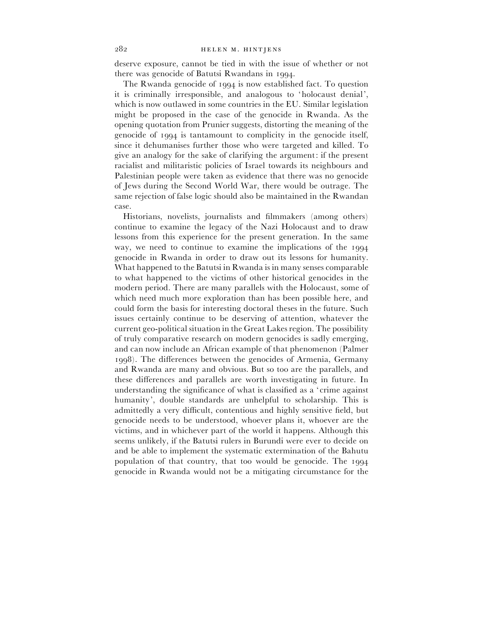deserve exposure, cannot be tied in with the issue of whether or not there was genocide of Batutsi Rwandans in 1994.

The Rwanda genocide of 1994 is now established fact. To question it is criminally irresponsible, and analogous to 'holocaust denial', which is now outlawed in some countries in the EU. Similar legislation might be proposed in the case of the genocide in Rwanda. As the opening quotation from Prunier suggests, distorting the meaning of the genocide of 1994 is tantamount to complicity in the genocide itself, since it dehumanises further those who were targeted and killed. To give an analogy for the sake of clarifying the argument: if the present racialist and militaristic policies of Israel towards its neighbours and Palestinian people were taken as evidence that there was no genocide of Jews during the Second World War, there would be outrage. The same rejection of false logic should also be maintained in the Rwandan case.

Historians, novelists, journalists and filmmakers (among others) continue to examine the legacy of the Nazi Holocaust and to draw lessons from this experience for the present generation. In the same way, we need to continue to examine the implications of the genocide in Rwanda in order to draw out its lessons for humanity. What happened to the Batutsi in Rwanda is in many senses comparable to what happened to the victims of other historical genocides in the modern period. There are many parallels with the Holocaust, some of which need much more exploration than has been possible here, and could form the basis for interesting doctoral theses in the future. Such issues certainly continue to be deserving of attention, whatever the current geo-political situation in the Great Lakes region. The possibility of truly comparative research on modern genocides is sadly emerging, and can now include an African example of that phenomenon (Palmer ). The differences between the genocides of Armenia, Germany and Rwanda are many and obvious. But so too are the parallels, and these differences and parallels are worth investigating in future. In understanding the significance of what is classified as a 'crime against humanity', double standards are unhelpful to scholarship. This is admittedly a very difficult, contentious and highly sensitive field, but genocide needs to be understood, whoever plans it, whoever are the victims, and in whichever part of the world it happens. Although this seems unlikely, if the Batutsi rulers in Burundi were ever to decide on and be able to implement the systematic extermination of the Bahutu population of that country, that too would be genocide. The genocide in Rwanda would not be a mitigating circumstance for the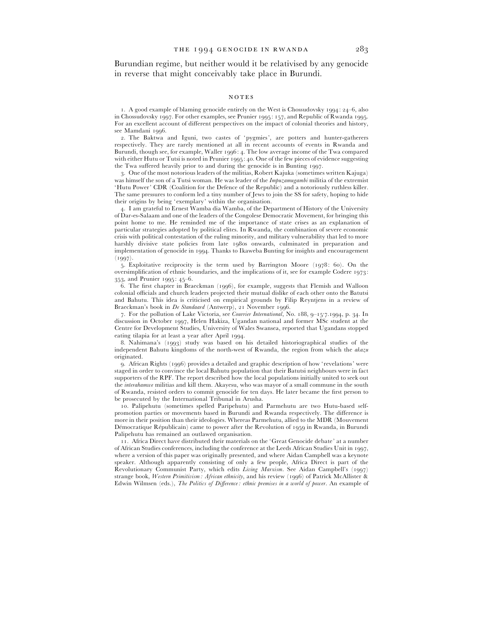Burundian regime, but neither would it be relativised by any genocide in reverse that might conceivably take place in Burundi.

#### **NOTES**

1. A good example of blaming genocide entirely on the West is Chossudovsky  $1994: 24-6$ , also in Chossudovsky 1997. For other examples, see Prunier 1995: 157, and Republic of Rwanda 1995. For an excellent account of different perspectives on the impact of colonial theories and history, see Mamdani 1996.

. The Baktwa and Iguni, two castes of 'pygmies', are potters and hunter-gatherers respectively. They are rarely mentioned at all in recent accounts of events in Rwanda and Burundi, though see, for example, Waller  $1996:4$ . The low average income of the Twa compared with either Hutu or Tutsi is noted in Prunier  $1995:40$ . One of the few pieces of evidence suggesting the Twa suffered heavily prior to and during the genocide is in Bunting 1997.

. One of the most notorious leaders of the militias, Robert Kajuka (sometimes written Kajuga) was himself the son of a Tutsi woman. He was leader of the *Impuzamugambi* militia of the extremist 'Hutu Power' CDR (Coalition for the Defence of the Republic) and a notoriously ruthless killer. The same pressures to conform led a tiny number of Jews to join the SS for safety, hoping to hide their origins by being 'exemplary' within the organisation.

. I am grateful to Ernest Wamba dia Wamba, of the Department of History of the University of Dar-es-Salaam and one of the leaders of the Congolese Democratic Movement, for bringing this point home to me. He reminded me of the importance of state crises as an explanation of particular strategies adopted by political elites. In Rwanda, the combination of severe economic crisis with political contestation of the ruling minority, and military vulnerability that led to more harshly divisive state policies from late 1980s onwards, culminated in preparation and implementation of genocide in 1994. Thanks to Ikaweba Bunting for insights and encouragement  $(1997)$ 

5. Exploitative reciprocity is the term used by Barrington Moore (1978: 60). On the oversimplification of ethnic boundaries, and the implications of it, see for example Codere : 353, and Prunier  $1995:45-6$ .

6. The first chapter in Braeckman  $(1996)$ , for example, suggests that Flemish and Walloon colonial officials and church leaders projected their mutual dislike of each other onto the Batutsi and Bahutu. This idea is criticised on empirical grounds by Filip Reyntjens in a review of Braeckman's book in *De Standaard* (Antwerp), 21 November 1996.

7. For the pollution of Lake Victoria, see *Courrier International*, No. 188, 9-15 7.1994, p. 34. In discussion in October 1997, Helen Hakiza, Ugandan national and former MSc student at the Centre for Development Studies, University of Wales Swansea, reported that Ugandans stopped eating tilapia for at least a year after April 1994.

8. Nahimana's (1993) study was based on his detailed historiographical studies of the independent Bahutu kingdoms of the north-west of Rwanda, the region from which the *akazu* originated.

. African Rights () provides a detailed and graphic description of how ' revelations' were staged in order to convince the local Bahutu population that their Batutsi neighbours were in fact supporters of the RPF. The report described how the local populations initially united to seek out the *interahamwe* militias and kill them. Akayesu, who was mayor of a small commune in the south of Rwanda, resisted orders to commit genocide for ten days. He later became the first person to be prosecuted by the International Tribunal in Arusha.

. Palipehutu (sometimes spelled Paripehutu) and Parmehutu are two Hutu-based selfpromotion parties or movements based in Burundi and Rwanda respectively. The difference is more in their position than their ideologies. Whereas Parmehutu, allied to the MDR (Mouvement Démocratique Républicain) came to power after the Revolution of 1959 in Rwanda, in Burundi Palipehutu has remained an outlawed organisation.

. Africa Direct have distributed their materials on the 'Great Genocide debate' at a number of African Studies conferences, including the conference at the Leeds African Studies Unit in , where a version of this paper was originally presented, and where Aidan Campbell was a keynote speaker. Although apparently consisting of only a few people, Africa Direct is part of the Revolutionary Communist Party, which edits *Living Marxism*. See Aidan Campbell's () strange book, Western Primitivism: African ethnicity, and his review (1996) of Patrick McAllister & Edwin Wilmsen (eds.), *The Politics of Difference : ethnic premises in a world of power*. An example of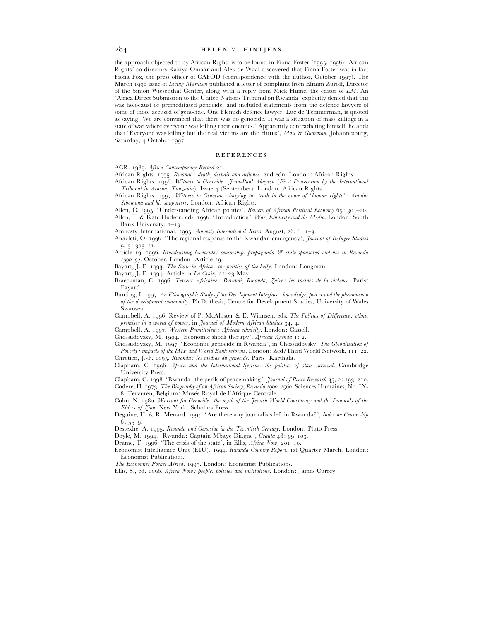the approach objected to by African Rights is to be found in Fiona Foster (1995, 1996); African Rights' co-directors Rakiya Omaar and Alex de Waal discovered that Fiona Foster was in fact Fiona Fox, the press officer of CAFOD (correspondence with the author, October 1997). The March issue of *Living Marxism* published a letter of complaint from Efraim Zuroff, Director of the Simon Wiesenthal Center, along with a reply from Mick Hume, the editor of *LM*. An 'Africa Direct Submission to the United Nations Tribunal on Rwanda' explicitly denied that this was holocaust or premeditated genocide, and included statements from the defence lawyers of some of those accused of genocide. One Flemish defence lawyer, Luc de Temmerman, is quoted as saying 'We are convinced that there was no genocide. It was a situation of mass killings in a state of war where everyone was killing their enemies.' Apparently contradicting himself, he adds that 'Everyone was killing but the real victims are the Hutus', *Mail* & *Guardian*, Johannesburg, Saturday, 4 October 1997.

#### **REFERENCES**

ACR. 1989. Africa Contemporary Record 21.

- African Rights. 1995. Rwanda: death, despair and defiance. 2nd edn. London: African Rights.
- African Rights. 1996. Witness to Genocide: Jean-Paul Akayesu (First Prosecution by the International *Tribunal in Arusha*, *Tanzania*). Issue (September). London: African Rights.
- African Rights. 1997. Witness to Genocide: burying the truth in the name of 'human rights': Antoine *Sibomana and his supporters.* London: African Rights.
- Allen, C. 1995. 'Understanding African politics', *Review of African Political Economy* 65: 301-20. Allen, T. & Kate Hudson. eds. . 'Introduction', *War*, *Ethnicity and the Media*. London: South Bank University,  $I-13$ .
- Amnesty International. 1995. Amnesty International News, August, 26, 8: 1-3.
- Anacleti, O. 1996. 'The regional response to the Rwandan emergency', *Journal of Refugee Studies*  $9, 3: 303 - 11.$
- Article 19. 1996. *Broadcasting Genocide: censorship, propaganda & state-sponsored violence in Rwanda* 1990-94. October, London: Article 19.
- Bayart, J.-F. . *The State in Africa : the politics of the belly*. London: Longman.
- Bayart, J.-F. 1994. Article in *La Croix*, 21-23 May.
- Braeckman, C. . *Terreur Africaine : Burundi*, *Rwanda*, *Zaire : les racines de la violence*. Paris: Fayard.
- Bunting, I. 1997. An Ethnographic Study of the Development Interface: knowledge, power and the phenomenon *of the development community*. Ph.D. thesis, Centre for Development Studies, University of Wales Swansea.
- Campbell, A. 1996. Review of P. McAllister & E. Wilmsen, eds. *The Politics of Difference: ethnic premises in a world of power*, in *Journal of Modern African Studies* 34, 4.
- Campbell, A. . *Western Primitivism : African ethnicity*. London: Cassell.
- Chossudovsky, M. 1994. 'Economic shock therapy', African Agenda 1: 2.
- Chossudovsky, M. . 'Economic genocide in Rwanda', in Chossudovsky, *The Globalisation of Poverty: impacts of the IMF and World Bank reforms.* London: Zed/Third World Network, 111-22. Chretien, J.-P. . *Rwanda : les medias du genocide*. Paris: Karthala.
- 
- Clapham, C. 1996. Africa and the International System: the politics of state survival. Cambridge University Press.

Clapham, C. 1998. 'Rwanda: the perils of peacemaking', *Journal of Peace Research* 35, 2: 193–210.

- Codere, H. 1973. The Biography of an African Society, Rwanda 1900-1960. Sciences Humaines, No. IN-8. Tervuren, Belgium: Musée Royal de l'Afrique Centrale.
- Cohn, N. . *Warrant for Genocide : the myth of the Jewish World Conspiracy and the Protocols of the Elders of Zion*. New York: Scholars Press.
- Deguine, H. & R. Menard. 1994. 'Are there any journalists left in Rwanda?', *Index on Censorship*  $6: 55 - 9.$
- Destexhe, A. 1995. Rwanda and Genocide in the Twentieth Century. London: Pluto Press.
- Doyle, M. 1994. 'Rwanda: Captain Mbaye Diagne', *Granta* 48: 99-103.
- Drame, T. 1996. 'The crisis of the state', in Ellis, *Africa Now*, 201-10.
- Economist Intelligence Unit (EIU). 1994. Rwanda Country Report, 1st Quarter March. London: Economist Publications.
- *The Economist Pocket Africa.* 1995. London: Economist Publications.
- Ellis, S., ed. . *Africa Now : people*, *policies and institutions*. London: James Currey.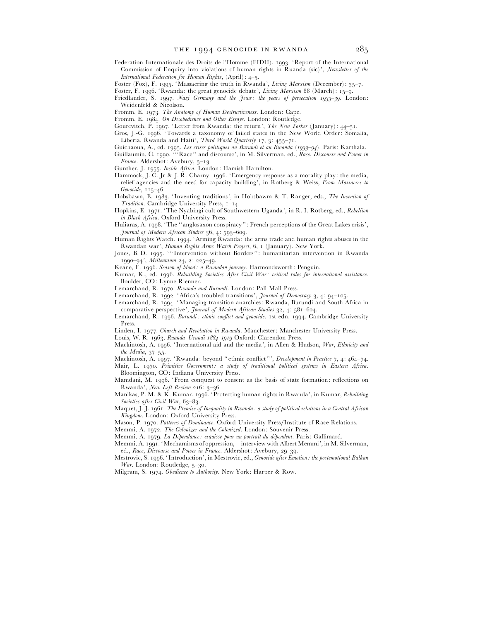- Federation Internationale des Droits de l'Homme (FIDH). 1993. 'Report of the International Commission of Enquiry into violations of human rights in Ruanda (sic)', *Newsletter of the International Federation for Human Rights*, (April): 4-5.
- Foster (Fox), F. 1995. 'Massacring the truth in Rwanda', *Living Marxism* (December): 35–7.
- Foster, F. 1996. 'Rwanda: the great genocide debate', *Living Marxism* 88 (March): 15-9.
- Friedlander, S. 1997. Nazi Germany and the Jews: the years of persecution 1933-39. London: Weidenfeld & Nicolson.
- Fromm, E. . *The Anatomy of Human Destructiveness*. London: Cape.
- Fromm, E. . *On Disobedience and Other Essays*. London: Routledge.
- Gourevitch, P. 1997. 'Letter from Rwanda: the return', *The New Yorker* (January): 44-51.
- Gros, J.-G. 1996. 'Towards a taxonomy of failed states in the New World Order: Somalia, Liberia, Rwanda and Haiti', *Third World Quarterly* 17, 3: 455-71.
- Guichaoua, A., ed. 1995. Les crises politiques au Burundi et au Rwanda (1993-94). Paris: Karthala.
- Guillaumin, C. 1990. "'Race" and discourse', in M. Silverman, ed., Race, Discourse and Power in *France*. Aldershot: Avebury, 5-13.
- Gunther, J. 1955. Inside Africa. London: Hamish Hamilton.
- Hammock, J. C. Jr & J. R. Charny. 1996. 'Emergency response as a morality play: the media, relief agencies and the need for capacity building', in Rotberg & Weiss, *From Massacres to Genocide*, 115-46.
- Hobsbawn, E. 1983. 'Inventing traditions', in Hobsbawm & T. Ranger, eds., *The Invention of Tradition*. Cambridge University Press, 1-14.
- Hopkins, E. . 'The Nyabingi cult of Southwestern Uganda', in R. I. Rotberg, ed., *Rebellion in Black Africa*. Oxford University Press.
- Huliaras, A. 1998. 'The "anglosaxon conspiracy": French perceptions of the Great Lakes crisis', *Journal of Modern African Studies* 36, 4: 593-609.
- Human Rights Watch. 1994. 'Arming Rwanda: the arms trade and human rights abuses in the Rwandan war', *Human Rights Arms Watch Project*, 6, 1 (January). New York.
- Jones, B. D. 1995. "'Intervention without Borders": humanitarian intervention in Rwanda 1990-94', *Millennium* 24, 2: 225-49.
- Keane, F. 1996. Season of blood: a Rwandan journey. Harmondsworth: Penguin.
- Kumar, K., ed. . *Rebuilding Societies After Civil War : critical roles for international assistance*. Boulder, CO: Lynne Rienner.
- Lemarchand, R. 1970. Rwanda and Burundi. London: Pall Mall Press.
- Lemarchand, R. 1992. 'Africa's troubled transitions', *Journal of Democracy* 3, 4: 94-105.
- Lemarchand, R. 1994. 'Managing transition anarchies: Rwanda, Burundi and South Africa in comparative perspective', *Journal of Modern African Studies* 32, 4: 581-604.
- Lemarchand, R. 1996. *Burundi: ethnic conflict and genocide*. 1st edn. 1994. Cambridge University Press.
- Linden, I. 1977. Church and Revolution in Rwanda. Manchester: Manchester University Press.
- Louis, W. R. 1963, Ruanda–Urundi 1884–1919 Oxford: Clarendon Press.
- Mackintosh, A. 1996. 'International aid and the media', in Allen & Hudson, *War*, *Ethnicity and*  $the$  *Media*,  $37-55$ .
- Mackintosh, A. 1997. 'Rwanda: beyond "ethnic conflict"', *Development in Practice* 7, 4: 464–74. Mair, L. . *Primitive Government : a study of traditional political systems in Eastern Africa*. Bloomington, CO: Indiana University Press.
- Mamdani, M. 1996. 'From conquest to consent as the basis of state formation: reflections on Rwanda', *New Left Review* 216: 3-36.
- Manikas, P. M. & K. Kumar. 1996. 'Protecting human rights in Rwanda', in Kumar, *Rebuilding Societies after Civil War*, 63-83.
- Maquet, J. J. . *The Premise of Inequality in Rwanda : a study of political relations in a Central African Kingdom*. London: Oxford University Press.
- Mason, P. 1970. Patterns of Dominance. Oxford University Press/Institute of Race Relations.
- Memmi, A. 1972. The Colonizer and the Colonized. London: Souvenir Press.
- Memmi, A. 1979. La Dépendance : esquisse pour un portrait du dépendent. Paris: Gallimard.
- Memmi, A. 1991. 'Mechamisms of oppression, interview with Albert Memmi', in M. Silverman, ed., Race, Discourse and Power in France. Aldershot: Avebury, 29-39.
- Mestrovic, S. . 'Introduction', in Mestrovic, ed., *Genocide after Emotion : the postemotional Balkan War.* London: Routledge, 5-30.
- Milgram, S. . *Obedience to Authority*. New York: Harper & Row.